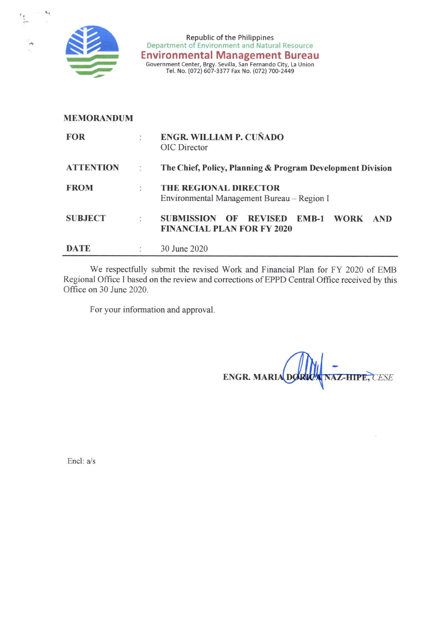

٠.,

Republic of the Philippines<br>Department of Environment and Natural Resource Environmental Management Bureau<br>Government Center, Brgy. Sevilla, San Fernando City, La Union<br>Tel. No. (072) 607-3377 Fax No. (072) 700-2449

## **MEMORANDUM**

| <b>FOR</b>       |                      | ENGR. WILLIAM P. CUÑADO<br>OIC Director                                                                                |
|------------------|----------------------|------------------------------------------------------------------------------------------------------------------------|
| <b>ATTENTION</b> |                      | The Chief, Policy, Planning & Program Development Division                                                             |
| <b>FROM</b>      | $\ddot{\cdot}$       | <b>THE REGIONAL DIRECTOR</b><br>Environmental Management Bureau – Region I                                             |
| <b>SUBJECT</b>   | ÷                    | <b>SUBMISSION</b><br><b>REVISED</b><br>$EMB-1$<br><b>WORK</b><br>OF<br><b>AND</b><br><b>FINANCIAL PLAN FOR FY 2020</b> |
| DATE             | $\ddot{\phantom{1}}$ | 30 June 2020                                                                                                           |

We respectfully submit the revised Work and Financial Plan for FY 2020 of EMB Regional Office I based on the review and corrections of EPPD Central Office received by this Office on 30 June 2020.

For your information and approval.

**NAZ-HIPE, CESE ENGR. MARIA DO** 

Encl: a/s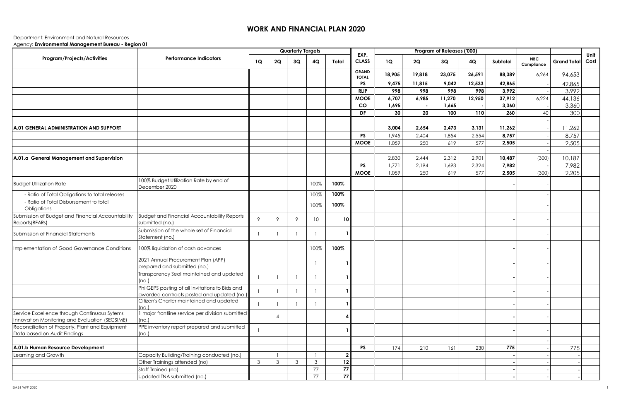## **WORK AND FINANCIAL PLAN 2020**

## Department: Environment and Natural Resources

Agency: **Environmental Management Bureau - Region 01**

|                                                                                                |                                                                                               |              |                | <b>Quarterly Targets</b> |                |                |                              |        |        | Program of Releases ('000) |        |          |                          |                    |              |
|------------------------------------------------------------------------------------------------|-----------------------------------------------------------------------------------------------|--------------|----------------|--------------------------|----------------|----------------|------------------------------|--------|--------|----------------------------|--------|----------|--------------------------|--------------------|--------------|
| Program/Projects/Activities                                                                    | <b>Performance Indicators</b>                                                                 | 1Q           | 2Q             | 3Q                       | 4Q             | Total          | EXP.<br><b>CLASS</b>         | 1Q     | 2Q     | 3Q                         | 4Q     | Subtotal | <b>NBC</b><br>Compliance | <b>Grand Total</b> | Unit<br>Cost |
|                                                                                                |                                                                                               |              |                |                          |                |                | <b>GRAND</b><br><b>TOTAL</b> | 18,905 | 19,818 | 23,075                     | 26,591 | 88,389   | 6,264                    | 94,653             |              |
|                                                                                                |                                                                                               |              |                |                          |                |                | <b>PS</b>                    | 9,475  | 11,815 | 9,042                      | 12,533 | 42,865   |                          | 42,865             |              |
|                                                                                                |                                                                                               |              |                |                          |                |                | <b>RLIP</b>                  | 998    | 998    | 998                        | 998    | 3,992    |                          | 3,992              |              |
|                                                                                                |                                                                                               |              |                |                          |                |                | <b>MOOE</b>                  | 6,707  | 6,985  | 11,270                     | 12,950 | 37,912   | 6,224                    | 44,136             |              |
|                                                                                                |                                                                                               |              |                |                          |                |                | <b>CO</b>                    | 1,695  |        | 1,665                      |        | 3,360    |                          | 3,360              |              |
|                                                                                                |                                                                                               |              |                |                          |                |                | DF                           | 30     | 20     | 100                        | 110    | 260      | 40                       | 300                |              |
|                                                                                                |                                                                                               |              |                |                          |                |                |                              |        |        |                            |        |          |                          |                    |              |
| A.01 GENERAL ADMINISTRATION AND SUPPORT                                                        |                                                                                               |              |                |                          |                |                |                              | 3,004  | 2,654  | 2,473                      | 3,131  | 11,262   |                          | 11,262             |              |
|                                                                                                |                                                                                               |              |                |                          |                |                | <b>PS</b>                    | 1,945  | 2,404  | 1,854                      | 2,554  | 8,757    |                          | 8,757              |              |
|                                                                                                |                                                                                               |              |                |                          |                |                | <b>MOOE</b>                  | 1,059  | 250    | 619                        | 577    | 2,505    |                          | 2,505              |              |
|                                                                                                |                                                                                               |              |                |                          |                |                |                              |        |        |                            |        |          |                          |                    |              |
| A.01.a General Management and Supervision                                                      |                                                                                               |              |                |                          |                |                |                              | 2,830  | 2,444  | 2,312                      | 2,901  | 10,487   | (300)                    | 10,187             |              |
|                                                                                                |                                                                                               |              |                |                          |                |                | <b>PS</b>                    | 1,771  | 2,194  | 1,693                      | 2,324  | 7,982    |                          | 7,982              |              |
|                                                                                                |                                                                                               |              |                |                          |                |                | <b>MOOE</b>                  | 1,059  | 250    | 619                        | 577    | 2,505    | (300)                    | 2,205              |              |
| <b>Budget Utilization Rate</b>                                                                 | 100% Budget Utilization Rate by end of<br>December 2020                                       |              |                |                          | 100%           | 100%           |                              |        |        |                            |        |          |                          |                    |              |
| - Ratio of Total Obligations to total releases                                                 |                                                                                               |              |                |                          | 100%           | 100%           |                              |        |        |                            |        |          |                          |                    |              |
| - Ratio of Total Disbursement to total<br>Obligations                                          |                                                                                               |              |                |                          | 100%           | 100%           |                              |        |        |                            |        |          |                          |                    |              |
| Submission of Budget and Financial Accountability<br>Reports (BFARs)                           | <b>Budget and Financial Accountability Reports</b><br>submitted (no.)                         | 9            | 9              | 9                        | 10             | 10             |                              |        |        |                            |        |          |                          |                    |              |
| Submission of Financial Statements                                                             | Submission of the whole set of Financial<br>Statement (no.)                                   | $\mathbf{1}$ |                |                          |                |                |                              |        |        |                            |        |          |                          |                    |              |
| Implementation of Good Governance Conditions                                                   | 100% liquidation of cash advances                                                             |              |                |                          | 100%           | 100%           |                              |        |        |                            |        |          |                          |                    |              |
|                                                                                                | 2021 Annual Procurement Plan (APP)<br>prepared and submitted (no.)                            |              |                |                          | - 1            |                |                              |        |        |                            |        |          |                          |                    |              |
|                                                                                                | Transparency Seal maintained and updated<br>(no.)                                             | $\mathbf{1}$ | -1             |                          | $\overline{1}$ |                |                              |        |        |                            |        |          |                          |                    |              |
|                                                                                                | PhilGEPS posting of all invitations to Bids and<br>awarded contracts posted and updated (no.) |              |                |                          | $\overline{1}$ |                |                              |        |        |                            |        |          |                          |                    |              |
|                                                                                                | Citizen's Charter maintained and updated<br>(no.)                                             | $\mathbf{1}$ | $\mathbf{1}$   |                          | $\overline{1}$ |                |                              |        |        |                            |        |          |                          |                    |              |
| Service Excellence through Continuous Sytems<br>Innovation Monitoring and Evaluation (SECSIME) | I major frontline service per division submitted<br>(no.)                                     |              | $\overline{4}$ |                          |                | Δ              |                              |        |        |                            |        |          |                          |                    |              |
| Reconciliation of Property, Plant and Equipment<br>Data based on Audit Findings                | PPE inventory report prepared and submitted<br>(no.)                                          | -1           |                |                          |                |                |                              |        |        |                            |        |          |                          |                    |              |
|                                                                                                |                                                                                               |              |                |                          |                |                |                              |        |        |                            |        |          |                          |                    |              |
| A.01.b Human Resource Development                                                              |                                                                                               |              |                |                          |                |                | <b>PS</b>                    | 174    | 210    | 161                        | 230    | 775      |                          | 775                |              |
| Learning and Growth                                                                            | Capacity Building/Training conducted (no.)                                                    |              | $\mathbf{1}$   |                          | -1             | $\overline{2}$ |                              |        |        |                            |        |          |                          |                    |              |
|                                                                                                | Other Trainings attended (no)                                                                 | 3            | 3              | 3                        | $\mathbf{3}$   | $12 \mid$      |                              |        |        |                            |        |          |                          |                    |              |
|                                                                                                | Staff Trained (no)                                                                            |              |                |                          | 77             | $77\,$         |                              |        |        |                            |        |          |                          |                    |              |
|                                                                                                | Updated TNA submitted (no.)                                                                   |              |                |                          | 77             | 77             |                              |        |        |                            |        |          |                          |                    |              |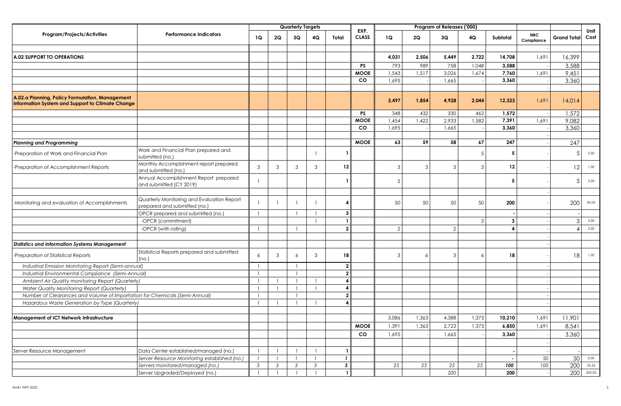|                                                                                                     |                                                                            |               |    | <b>Quarterly Targets</b> |               |                |                      |               |       | Program of Releases ('000) |       |                          |                   |                    |              |
|-----------------------------------------------------------------------------------------------------|----------------------------------------------------------------------------|---------------|----|--------------------------|---------------|----------------|----------------------|---------------|-------|----------------------------|-------|--------------------------|-------------------|--------------------|--------------|
| <b>Program/Projects/Activities</b>                                                                  | <b>Performance Indicators</b>                                              | 1Q            | 2Q | 3Q                       | 4Q            | Total          | EXP.<br><b>CLASS</b> | 1Q            | 2Q    | 3Q                         | 4Q    | Subtotal                 | NBC<br>Compliance | <b>Grand Total</b> | Unit<br>Cost |
|                                                                                                     |                                                                            |               |    |                          |               |                |                      |               |       |                            |       |                          |                   |                    |              |
| <b>A.02 SUPPORT TO OPERATIONS</b>                                                                   |                                                                            |               |    |                          |               |                |                      | 4,031         | 2,506 | 5,449                      | 2,722 | 14,708                   | 1,691             | 16,399             |              |
|                                                                                                     |                                                                            |               |    |                          |               |                | <b>PS</b>            | 793           | 989   | 758                        | 1,048 | 3,588                    |                   | 3,588              |              |
|                                                                                                     |                                                                            |               |    |                          |               |                | <b>MOOE</b>          | 1,543         | 1,517 | 3,026                      | 1,674 | 7,760                    | 1,691             | 9,451              |              |
|                                                                                                     |                                                                            |               |    |                          |               |                | <b>CO</b>            | 1,695         |       | 1,665                      |       | 3,360                    |                   | 3,360              |              |
|                                                                                                     |                                                                            |               |    |                          |               |                |                      |               |       |                            |       |                          |                   |                    |              |
| A.02.a Planning, Policy Formulation, Management<br>Information System and Support to Climate Change |                                                                            |               |    |                          |               |                |                      | 3,497         | 1,854 | 4,928                      | 2,044 | 12,323                   | 1,691             | 14,014             |              |
|                                                                                                     |                                                                            |               |    |                          |               |                | <b>PS</b>            | 348           | 432   | 330                        | 462   | 1,572                    |                   | 1,572              |              |
|                                                                                                     |                                                                            |               |    |                          |               |                | <b>MOOE</b>          | 1,454         | 1,422 | 2,933                      | 1,582 | 7,391                    | 1,691             | 9,082              |              |
|                                                                                                     |                                                                            |               |    |                          |               |                | <b>CO</b>            | 1,695         |       | 1,665                      |       | 3,360                    |                   | 3,360              |              |
|                                                                                                     |                                                                            |               |    |                          |               |                |                      |               |       |                            |       |                          |                   |                    |              |
| <b>Planning and Programming</b>                                                                     |                                                                            |               |    |                          |               |                | <b>MOOE</b>          | 63            | 59    | 58                         | 67    | 247                      |                   | 247                |              |
| -Preparation of Work and Financial Plan                                                             | Work and Financial Plan prepared and<br>submitted (no.)                    |               |    |                          |               |                |                      |               |       |                            | 5     | 5                        |                   | .5                 | 5.00         |
| -Preparation of Accomplishment Reports                                                              | Monthly Accomplishment report prepared<br>and submitted (no.)              | 3             | 3  | 3                        | 3             | 12             |                      | 3             | 3     | 3                          | -3    | 12                       |                   | 12                 | 1.00         |
|                                                                                                     | Annual Accomplishment Report prepared<br>and submitted (CY 2019)           |               |    |                          |               |                |                      | 5             |       |                            |       | 5                        |                   | 5                  | 5.00         |
|                                                                                                     |                                                                            |               |    |                          |               |                |                      |               |       |                            |       |                          |                   |                    |              |
| -Monitoring and evaluation of Accomplishments                                                       | Quarterly Monitoring and Evaluation Report<br>prepared and submitted (no.) |               |    |                          |               | 4              |                      | 50            | 50    | 50                         | 50    | 200                      |                   | 200                | 50.00        |
|                                                                                                     | OPCR prepared and submitted (no.)                                          |               |    |                          |               | $\mathbf{3}$   |                      |               |       |                            |       |                          |                   |                    |              |
|                                                                                                     | -OPCR (commitment)                                                         |               |    |                          |               |                |                      |               |       |                            | -3    | 3                        |                   | 3                  | 3.00         |
|                                                                                                     | -OPCR (with rating)                                                        |               |    |                          |               | $\overline{2}$ |                      | $\mathcal{P}$ |       | $\overline{2}$             |       | 4                        |                   |                    | 2.00         |
|                                                                                                     |                                                                            |               |    |                          |               |                |                      |               |       |                            |       |                          |                   |                    |              |
| <b>Statistics and Information Systems Management</b>                                                |                                                                            |               |    |                          |               |                |                      |               |       |                            |       |                          |                   |                    |              |
| -Preparation of Statistical Reports                                                                 | Statistical Reports prepared and submitted<br>(no.)                        | 6             | 3  | 6                        | 3             | 18             |                      | 3             | 6     | 3                          |       | 18                       |                   | 18                 | 1.00         |
| Industrial Emission Monitoring Report (Semi-annual)                                                 |                                                                            |               |    |                          |               | $\mathbf{2}$   |                      |               |       |                            |       |                          |                   |                    |              |
| Industrial Environmental Compliance (Semi-Annual)                                                   |                                                                            |               |    |                          |               | $\mathbf{2}$   |                      |               |       |                            |       |                          |                   |                    |              |
| Ambient Air Quality monitoring Report (Quarterly)                                                   |                                                                            |               |    |                          |               | 4              |                      |               |       |                            |       |                          |                   |                    |              |
| Water Quality Monitoring Report (Quarterly)                                                         |                                                                            |               |    |                          |               | 4              |                      |               |       |                            |       |                          |                   |                    |              |
| Number of Clearances and Volume of Importation for Chemicals (Semi-Annual)                          |                                                                            |               |    |                          |               | $\overline{2}$ |                      |               |       |                            |       |                          |                   |                    |              |
| Hazardous Waste Generation by Type (Quarterly)                                                      |                                                                            |               |    |                          |               | 4              |                      |               |       |                            |       |                          |                   |                    |              |
|                                                                                                     |                                                                            |               |    |                          |               |                |                      |               |       |                            |       |                          |                   |                    |              |
| <b>Management of ICT Network Infrastructure</b>                                                     |                                                                            |               |    |                          |               |                |                      | 3,086         | 1,363 | 4,388                      | 1,373 | 10,210                   | 1,691             | 11,901             |              |
|                                                                                                     |                                                                            |               |    |                          |               |                |                      | 1,391         | 1,363 |                            | 1,373 |                          |                   |                    |              |
|                                                                                                     |                                                                            |               |    |                          |               |                | <b>MOOE</b>          |               |       | 2,723                      |       | 6,850                    | 1,691             | 8,541              |              |
|                                                                                                     |                                                                            |               |    |                          |               |                | CO.                  | 1,695         |       | 1,665                      |       | 3,360                    |                   | 3,360              |              |
|                                                                                                     |                                                                            |               |    |                          |               |                |                      |               |       |                            |       |                          |                   |                    |              |
| Server Resource Management                                                                          | Data Center established/managed (no.)                                      |               |    |                          |               |                |                      |               |       |                            |       |                          |                   |                    |              |
|                                                                                                     | Server Resource Monitoring established (no.)                               |               |    |                          |               | $\mathbf{I}$   |                      |               |       |                            |       | $\overline{\phantom{a}}$ | 50                | 50                 | 0.00         |
|                                                                                                     | Servers monitored/managed (no.)                                            | $\mathcal{S}$ | 3  | $\mathfrak{Z}$           | $\mathcal{S}$ | $\mathbf{3}$   |                      | 25            | 25    | 25                         | 25    | 100                      | 100               | 200                | 33.33        |
|                                                                                                     | Server Upgraded/Deployed (no.)                                             |               |    |                          |               | $\mathbf{1}$   |                      |               |       | 200                        |       | 200                      |                   |                    | 200 200.00   |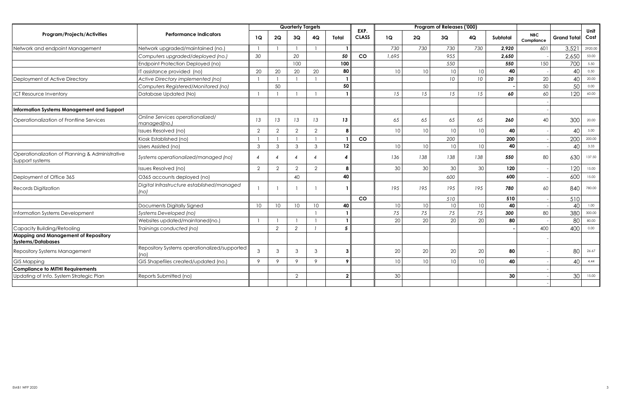|                                                                    |                                                      |                |                           | <b>Quarterly Targets</b> |                |                  | EXP.         |       |                 | Program of Releases ('000) |                  |          |                          |                    | Unit    |
|--------------------------------------------------------------------|------------------------------------------------------|----------------|---------------------------|--------------------------|----------------|------------------|--------------|-------|-----------------|----------------------------|------------------|----------|--------------------------|--------------------|---------|
| Program/Projects/Activities                                        | <b>Performance Indicators</b>                        | 1Q             | 2Q                        | 3Q                       | 4Q             | Total            | <b>CLASS</b> | 1Q    | 2Q              | 3Q                         | 4Q               | Subtotal | <b>NBC</b><br>Compliance | <b>Grand Total</b> | Cost    |
| Network and endpoint Management                                    | Network upgraded/maintained (no.)                    |                |                           |                          |                |                  |              | 730   | 730             | 730                        | 730              | 2.920    | 601                      | 3,521              | 2920.00 |
|                                                                    | Computers upgraded/deployed (no.)                    | 30             |                           | 20                       |                | 50               | CO           | 1.695 |                 | 955                        |                  | 2.650    |                          | 2,650              | 53.00   |
|                                                                    | Endpoint Protection Deployed (no)                    |                |                           | 100                      |                | 100              |              |       |                 | 550                        |                  | 550      | 150                      | 700                | 5.50    |
|                                                                    | IT assistance provided (no)                          | 20             | 20                        | 20                       | 20             | 80               |              | 10    | 10 <sup>°</sup> | 10                         | 10               | 40       |                          | 40                 | 0.50    |
| Deployment of Active Directory                                     | Active Directory implemented (no)                    |                |                           |                          |                |                  |              |       |                 | 10 <sup>°</sup>            | 10 <sup>10</sup> | 20       | 20                       | 40                 | 20.00   |
|                                                                    | Computers Registered/Monitored (no)                  |                | 50                        |                          |                | 50               |              |       |                 |                            |                  |          | 50                       | 50                 | 0.00    |
| <b>ICT Resource Inventory</b>                                      | Database Updated (No)                                |                |                           |                          |                |                  |              | 15    | 15              | 15                         | 15               | 60       | 60                       | 120                | 60.00   |
| Information Systems Management and Support                         |                                                      |                |                           |                          |                |                  |              |       |                 |                            |                  |          |                          |                    |         |
| Operationalization of Frontline Services                           | Online Services operationalized/<br>managed(no.)     | 13             | 13                        | 13                       | 13             | 13               |              | 65    | 65              | 65                         | 65               | 260      | 40                       | 300                | 20.00   |
|                                                                    | Issues Resolved (no)                                 | 2              | $\overline{2}$            | $\overline{2}$           | $\overline{2}$ | 8                |              | 10    | 10              | 10                         | 10               | 40       |                          | 40                 | 5.00    |
|                                                                    | Kiosk Established (no)                               |                |                           |                          |                |                  | co           |       |                 | 200                        |                  | 200      |                          | 200                | 200.00  |
|                                                                    | Users Assisted (no)                                  | 3              | 3                         | $\mathbf{3}$             | 3              | 12               |              | 10    | 10              | 10                         | 10               | 40       |                          | 40                 | 3.33    |
| Operationalization of Planning & Administrative<br>Support systems | Systems operationalized/managed (no)                 | $\overline{4}$ | $\boldsymbol{\varLambda}$ | $\overline{4}$           | 4              |                  |              | 136   | 138             | 138                        | 138              | 550      | 80                       | 630                | 137.50  |
|                                                                    | Issues Resolved (no)                                 | 2              | $\overline{2}$            | $\overline{2}$           | $\overline{2}$ | 8                |              | 30    | 30              | 30                         | 30               | 120      |                          | 120                | 15.00   |
| Deployment of Office 365                                           | O365 accounts deployed (no)                          |                |                           | 40                       |                | 40               |              |       |                 | 600                        |                  | 600      |                          | 600                | 15.00   |
| Records Digitization                                               | Digital Infrastructure established/managed<br>(no)   |                |                           |                          |                |                  |              | 195   | 195             | 195                        | 195              | 780      | 60                       | 840                | 780.00  |
|                                                                    |                                                      |                |                           |                          |                |                  | <b>CO</b>    |       |                 | 510                        |                  | 510      |                          | 510                |         |
|                                                                    | Documents Digitally Signed                           | 10             | 10                        | 10 <sup>°</sup>          | 10             | 40               |              | 10    | 10              | 10                         | 10               | 40       |                          | 40                 | 1.00    |
| Information Systems Development                                    | Systems Developed (no)                               |                |                           |                          |                |                  |              | 75    | 75              | 75                         | 75               | 300      | 80                       | 380                | 300.00  |
|                                                                    | Websites updated/maintaned(no.)                      |                |                           |                          |                |                  |              | 20    | 20              | 20                         | 20               | 80       |                          | 80                 | 80.00   |
| Capacity Building/Retooling                                        | Trainings conducted (no)                             |                | 2                         | $\overline{2}$           |                | 5                |              |       |                 |                            |                  |          | 400                      | 400                | 0.00    |
| <b>Mapping and Management of Repository</b><br>Systems/Databases   |                                                      |                |                           |                          |                |                  |              |       |                 |                            |                  |          |                          |                    |         |
| <b>Repository Systems Management</b>                               | Repository Systems operationalized/supported<br>(no) | 3              | 3                         | 3                        | 3              | 3 <sup>1</sup>   |              | 20    | 20              | 20                         | 20               | 80       |                          | 80                 | 26.67   |
| <b>GIS Mapping</b>                                                 | GIS Shapefiles created/updated (no.)                 | 9              | $\mathsf{Q}$              | $\circ$                  | 9              | $\boldsymbol{9}$ |              | 10    | 10              | 10                         | 10               | 40       |                          | 40                 | 4.44    |
| <b>Compliance to MITHI Requirements</b>                            |                                                      |                |                           |                          |                |                  |              |       |                 |                            |                  |          |                          |                    |         |
| Updating of Info. System Strategic Plan                            | Reports Submitted (no)                               |                |                           | 2                        |                | $\overline{2}$   |              | 30    |                 |                            |                  | 30       |                          | 30 <sup>1</sup>    | 15.00   |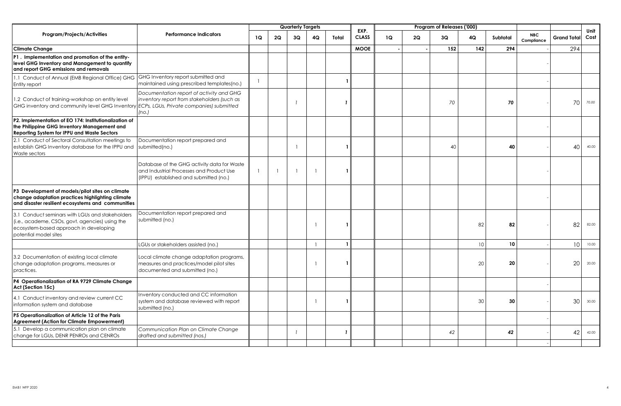|                                                                                                                                                                       |                                                                                                                                   |              |    | <b>Quarterly Targets</b> |    |       | EXP.         |    |    | Program of Releases ('000) |     |          |                          |                    |              |
|-----------------------------------------------------------------------------------------------------------------------------------------------------------------------|-----------------------------------------------------------------------------------------------------------------------------------|--------------|----|--------------------------|----|-------|--------------|----|----|----------------------------|-----|----------|--------------------------|--------------------|--------------|
| <b>Program/Projects/Activities</b>                                                                                                                                    | <b>Performance Indicators</b>                                                                                                     | 1Q           | 2Q | 3Q                       | 4Q | Total | <b>CLASS</b> | 1Q | 2Q | 3Q                         | 4Q  | Subtotal | <b>NBC</b><br>Compliance | <b>Grand Total</b> | Unit<br>Cost |
| <b>Climate Change</b>                                                                                                                                                 |                                                                                                                                   |              |    |                          |    |       | <b>MOOE</b>  |    |    | 152                        | 142 | 294      |                          | 294                |              |
| P1. Implementation and promotion of the entity-<br>level GHG Inventory and Management to quantify<br>and report GHG emissions and removals                            |                                                                                                                                   |              |    |                          |    |       |              |    |    |                            |     |          |                          |                    |              |
| 1.1 Conduct of Annual (EMB Regional Office) GHG<br><b>Entity report</b>                                                                                               | GHG Inventory report submitted and<br>maintained using prescribed templates(no.)                                                  | $\mathbf{1}$ |    |                          |    |       |              |    |    |                            |     |          |                          |                    |              |
| 1.2 Conduct of training-workshop on entity level<br>GHG inventory and community level GHG Inventory ECPs, LGUs, Private companies) submitted                          | Documentation report of activity and GHG<br>inventory report from stakeholders (such as<br>(no.)                                  |              |    |                          |    |       |              |    |    | 70                         |     | 70       |                          | 70                 | 70.00        |
| P2. Implementation of EO 174: Institutionalization of<br>the Philippine GHG Inventory Management and<br>Reporting System for IPPU and Waste Sectors                   |                                                                                                                                   |              |    |                          |    |       |              |    |    |                            |     |          |                          |                    |              |
| 2.1 Conduct of Sectoral Consultation meetings to<br>establish GHG Inventory database for the IPPU and<br>Waste sectors                                                | Documentation report prepared and<br>submitted(no.)                                                                               |              |    |                          |    |       |              |    |    | 40                         |     | 40       |                          | 40                 | 40.00        |
|                                                                                                                                                                       | Database of the GHG activity data for Waste<br>and Industrial Processes and Product Use<br>(IPPU) established and submitted (no.) |              |    |                          |    |       |              |    |    |                            |     |          |                          |                    |              |
| P3 Development of models/pilot sites on climate<br>change adaptation practices highlighting climate<br>and disaster resilient ecosystems and communities              |                                                                                                                                   |              |    |                          |    |       |              |    |    |                            |     |          |                          |                    |              |
| 3.1 Conduct seminars with LGUs and stakeholders<br>(i.e., academe, CSOs, govt. agencies) using the<br>ecosystem-based approach in developing<br>potential model sites | Documentation report prepared and<br>submitted (no.)                                                                              |              |    |                          |    |       |              |    |    |                            | 82  | 82       |                          | 82                 | 82.00        |
|                                                                                                                                                                       | LGUs or stakeholders assisted (no.)                                                                                               |              |    |                          |    |       |              |    |    |                            | 10  | 10       |                          | 10                 | 10.00        |
| 3.2 Documentation of existing local climate<br>change adaptation programs, measures or<br>practices.                                                                  | Local climate change adaptation programs,<br>measures and practices/model pilot sites<br>documented and submitted (no.)           |              |    |                          |    |       |              |    |    |                            | 20  | 20       |                          | 20                 | 20.00        |
| P4 Operationalization of RA 9729 Climate Change<br>Act (Section 15c)                                                                                                  |                                                                                                                                   |              |    |                          |    |       |              |    |    |                            |     |          |                          |                    |              |
| 4.1 Conduct inventory and review current CC<br>information system and database                                                                                        | Inventory conducted and CC information<br>system and database reviewed with report<br>submitted (no.)                             |              |    |                          |    |       |              |    |    |                            | 30  | 30       |                          | 30                 | 30.00        |
| P5 Operationalization of Article 12 of the Paris<br>Agreement (Action for Climate Empowerment)                                                                        |                                                                                                                                   |              |    |                          |    |       |              |    |    |                            |     |          |                          |                    |              |
| 5.1 Develop a communication plan on climate<br>change for LGUs, DENR PENROs and CENROs                                                                                | Communication Plan on Climate Change<br>drafted and submitted (nos.)                                                              |              |    |                          |    | 1     |              |    |    | 42                         |     | 42       |                          | 42                 | 42.00        |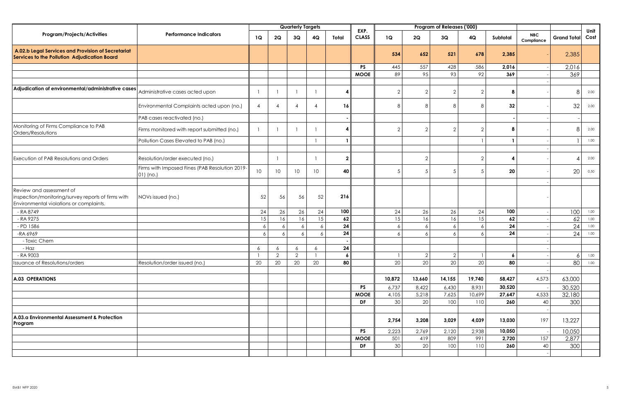|                                                                                                                           |                                                             |                 |                | <b>Quarterly Targets</b> |                 |                  |                      |                |                | Program of Releases ('000) |                |                  |                          |                    |              |
|---------------------------------------------------------------------------------------------------------------------------|-------------------------------------------------------------|-----------------|----------------|--------------------------|-----------------|------------------|----------------------|----------------|----------------|----------------------------|----------------|------------------|--------------------------|--------------------|--------------|
| Program/Projects/Activities                                                                                               | <b>Performance Indicators</b>                               | 1Q              | 2Q             | 3Q                       | 4Q              | Total            | EXP.<br><b>CLASS</b> | 1Q             | 2Q             | 3Q                         | 4Q             | Subtotal         | <b>NBC</b><br>Compliance | <b>Grand Total</b> | Unit<br>Cost |
| A.02.b Legal Services and Provision of Secretariat<br>Services to the Pollution Adjudication Board                        |                                                             |                 |                |                          |                 |                  |                      | 534            | 652            | 521                        | 678            | 2,385            |                          | 2,385              |              |
|                                                                                                                           |                                                             |                 |                |                          |                 |                  | <b>PS</b>            | 445            | 557            | 428                        | 586            | 2,016            |                          | 2,016              |              |
|                                                                                                                           |                                                             |                 |                |                          |                 |                  | <b>MOOE</b>          | 89             | 95             | 93                         | 92             | 369              |                          | 369                |              |
|                                                                                                                           |                                                             |                 |                |                          |                 |                  |                      |                |                |                            |                |                  |                          |                    |              |
| Adjudication of environmental/administrative cases                                                                        | Administrative cases acted upon                             | $\overline{1}$  |                |                          |                 | 4                |                      | $\overline{2}$ | $\overline{2}$ | $\overline{2}$             | $\overline{2}$ | 8                |                          | 8                  | 2.00         |
|                                                                                                                           | Environmental Complaints acted upon (no.)                   | $\overline{4}$  | $\overline{4}$ | $\overline{4}$           | $\overline{4}$  | 16               |                      | 8              | 8              | 8                          | 8              | 32               |                          | 32                 | 2.00         |
|                                                                                                                           | PAB cases reactivated (no.)                                 |                 |                |                          |                 |                  |                      |                |                |                            |                |                  |                          |                    |              |
| Monitoring of Firms Compliance to PAB<br>Orders/Resolutions                                                               | Firms monitored with report submitted (no.)                 | $\overline{1}$  |                |                          |                 | 4                |                      | 2              | 2              | $\overline{2}$             | $\overline{2}$ | 8                |                          | 8                  | 2.00         |
|                                                                                                                           | Pollution Cases Elevated to PAB (no.)                       |                 |                |                          |                 |                  |                      |                |                |                            |                | $\mathbf{1}$     |                          |                    | 1.00         |
|                                                                                                                           |                                                             |                 |                |                          |                 |                  |                      |                |                |                            |                |                  |                          |                    |              |
| Execution of PAB Resolutions and Orders                                                                                   | Resolution/order executed (no.)                             |                 |                |                          |                 | $\mathbf{2}$     |                      |                | $\overline{2}$ |                            | $\overline{2}$ | 4                |                          |                    | 2.00         |
|                                                                                                                           | Firms with Imposed Fines (PAB Resolution 2019-<br>01) (no.) | 10 <sup>°</sup> | 10             | 10 <sup>°</sup>          | 10              | 40               |                      | 5              | 5              | 5                          | 5              | 20               |                          | 20                 | 0.50         |
|                                                                                                                           |                                                             |                 |                |                          |                 |                  |                      |                |                |                            |                |                  |                          |                    |              |
| Review and assessment of<br>inspection/monitoring/survey reports of firms with<br>Environmental violations or complaints. | NOVs issued (no.)                                           | 52              | 56             | 56                       | 52              | 216              |                      |                |                |                            |                |                  |                          |                    |              |
| - RA 8749                                                                                                                 |                                                             | 24              | 26             | 26                       | 24              | 100              |                      | 24             | 26             | 26                         | 24             | 100              |                          | 100                | 1.00         |
| $-RA9275$                                                                                                                 |                                                             | 15              | 16             | 16                       | $\overline{15}$ | 62               |                      | 15             | 16             | 16                         | 15             | 62               |                          | 62                 | 1.00         |
| - PD 1586                                                                                                                 |                                                             | 6               | 6              | 6                        | 6               | 24               |                      | 6              | $\overline{6}$ | $\epsilon$                 | 6              | 24               |                          | 24                 | 1.00         |
| -RA 6969                                                                                                                  |                                                             | 6               | 6              | 6                        | 6               | 24               |                      | 6              | $\overline{6}$ | $\overline{6}$             | 6              | 24               |                          | 24                 | 1.00         |
| - Toxic Chem                                                                                                              |                                                             |                 |                |                          |                 |                  |                      |                |                |                            |                |                  |                          |                    |              |
| - Haz                                                                                                                     |                                                             | 6               | 6              | 6                        | 6               | 24               |                      |                |                |                            |                |                  |                          |                    |              |
| $-RA9003$                                                                                                                 |                                                             | $\mathbf{1}$    | $\overline{2}$ | $\overline{2}$           |                 | $\boldsymbol{6}$ |                      |                | $\overline{2}$ | $\overline{2}$             |                | $\boldsymbol{6}$ |                          | 6                  | 1.00         |
| ssuance of Resolutions/orders                                                                                             | Resolution/order issued (no.)                               | 20              | 20             | 20                       | 20              | 80               |                      | 20             | 20             | $\overline{20}$            | 20             | 80               |                          | 80                 | 1.00         |
| <b>A.03 OPERATIONS</b>                                                                                                    |                                                             |                 |                |                          |                 |                  |                      | 10,872         | 13,660         | 14,155                     | 19,740         | 58,427           | 4,573                    | 63,000             |              |
|                                                                                                                           |                                                             |                 |                |                          |                 |                  | <b>PS</b>            | 6,737          | 8,422          | 6,430                      | 8,931          | 30,520           |                          | 30,520             |              |
|                                                                                                                           |                                                             |                 |                |                          |                 |                  | <b>MOOE</b>          | 4,105          | 5,218          | 7,625                      | 10,699         | 27,647           | 4,533                    | 32,180             |              |
|                                                                                                                           |                                                             |                 |                |                          |                 |                  | DF                   | 30             | 20             | 100                        | 110            | 260              | 40                       | 300                |              |
|                                                                                                                           |                                                             |                 |                |                          |                 |                  |                      |                |                |                            |                |                  |                          |                    |              |
| A.03.a Environmental Assessment & Protection<br>Program                                                                   |                                                             |                 |                |                          |                 |                  |                      | 2,754          | 3,208          | 3,029                      | 4,039          | 13,030           | 197                      | 13,227             |              |
|                                                                                                                           |                                                             |                 |                |                          |                 |                  | <b>PS</b>            | 2,223          | 2,769          | 2,120                      | 2,938          | 10,050           |                          | 10,050             |              |
|                                                                                                                           |                                                             |                 |                |                          |                 |                  | <b>MOOE</b>          | 501            | 419            | 809                        | 991            | 2,720            | 157                      | 2,877              |              |
|                                                                                                                           |                                                             |                 |                |                          |                 |                  | DF                   | 30             | 20             | 100                        | 110            | 260              | 40                       | 300                |              |
|                                                                                                                           |                                                             |                 |                |                          |                 |                  |                      |                |                |                            |                |                  |                          |                    |              |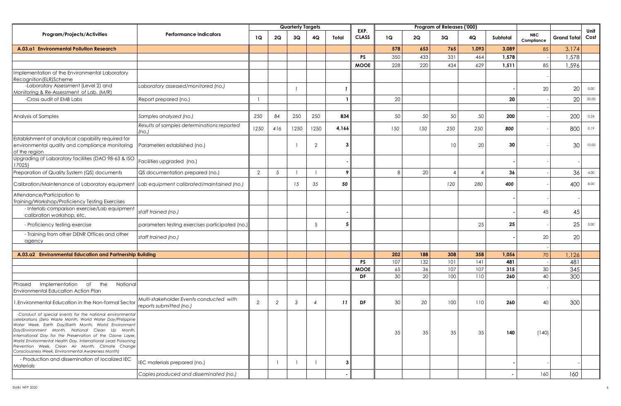|                                                                                                                                                                                                                                                                                                                                                                                                                                                                            |                                                                    |                |     | <b>Quarterly Targets</b> |                |       |                          |          |          | Program of Releases ('000) |           |            |                          |                    |              |
|----------------------------------------------------------------------------------------------------------------------------------------------------------------------------------------------------------------------------------------------------------------------------------------------------------------------------------------------------------------------------------------------------------------------------------------------------------------------------|--------------------------------------------------------------------|----------------|-----|--------------------------|----------------|-------|--------------------------|----------|----------|----------------------------|-----------|------------|--------------------------|--------------------|--------------|
| <b>Program/Projects/Activities</b>                                                                                                                                                                                                                                                                                                                                                                                                                                         | <b>Performance Indicators</b>                                      | 1Q             | 2Q  | 3Q                       | 4Q             | Total | EXP.<br><b>CLASS</b>     | 1Q       | 2Q       | 3Q                         | 4Q        | Subtotal   | <b>NBC</b><br>Compliance | <b>Grand Total</b> | Unit<br>Cost |
| A.03.a1 Environmental Pollution Research                                                                                                                                                                                                                                                                                                                                                                                                                                   |                                                                    |                |     |                          |                |       |                          | 578      | 653      | 765                        | 1,093     | 3,089      | 85                       | 3,174              |              |
|                                                                                                                                                                                                                                                                                                                                                                                                                                                                            |                                                                    |                |     |                          |                |       | <b>PS</b>                | 350      | 433      | 331                        | 464       | 1,578      |                          | 1,578              |              |
|                                                                                                                                                                                                                                                                                                                                                                                                                                                                            |                                                                    |                |     |                          |                |       | <b>MOOE</b>              | 228      | 220      | 434                        | 629       | 1,511      | 85                       | 1,596              |              |
| Implementation of the Environmental Laboratory                                                                                                                                                                                                                                                                                                                                                                                                                             |                                                                    |                |     |                          |                |       |                          |          |          |                            |           |            |                          |                    |              |
| Recognition(ELR)Scheme<br>-Laboratory Assessment (Level 2) and                                                                                                                                                                                                                                                                                                                                                                                                             | Laboratory assessed/monitored (no.)                                |                |     |                          |                |       |                          |          |          |                            |           |            |                          |                    |              |
| Monitoring & Re-Assessment of Lab. (M/R)                                                                                                                                                                                                                                                                                                                                                                                                                                   |                                                                    |                |     |                          |                |       |                          |          |          |                            |           |            | 20                       | 20                 | 0.00         |
| -Cross audit of EMB Labs                                                                                                                                                                                                                                                                                                                                                                                                                                                   | Report prepared (no.)                                              |                |     |                          |                |       |                          | 20       |          |                            |           | 20         |                          | 20                 | 20.00        |
|                                                                                                                                                                                                                                                                                                                                                                                                                                                                            |                                                                    |                |     |                          |                |       |                          |          |          |                            |           |            |                          |                    |              |
| Analysis of Samples                                                                                                                                                                                                                                                                                                                                                                                                                                                        | Samples analyzed (no.)                                             | 250            | 84  | 250                      | 250            | 834   |                          | 50       | 50       | 50                         | 50        | 200        |                          | 200                | 0.24         |
|                                                                                                                                                                                                                                                                                                                                                                                                                                                                            | Results of samples determinations reported<br>(no.)                | 1250           | 416 | 1250                     | 1250           | 4,166 |                          | 150      | 150      | 250                        | 250       | 800        |                          | 800                | 0.19         |
| Establishment of analytical capability required for<br>environmental quality and compliance monitoring<br>of the region                                                                                                                                                                                                                                                                                                                                                    | Parameters established (no.)                                       |                |     |                          | 2              |       |                          |          |          | 10                         | 20        | 30         |                          | 30                 | 10.00        |
| Upgrading of Laboratory facilities (DAO 98-63 & ISO<br>17025)                                                                                                                                                                                                                                                                                                                                                                                                              | Facilities upgraded (no.)                                          |                |     |                          |                |       |                          |          |          |                            |           |            |                          |                    |              |
| Preparation of Quality System (QS) documents                                                                                                                                                                                                                                                                                                                                                                                                                               | QS documentation prepared (no.)                                    | $\overline{2}$ | .5  |                          |                | 9     |                          | 8        | 20       | $\overline{4}$             |           | 36         |                          | 36                 | 4.00         |
| Calibration/Maintenance of Laboratory equipment                                                                                                                                                                                                                                                                                                                                                                                                                            | Lab equipment calibrated/maintained (no.)                          |                |     | 15                       | 35             | 50    |                          |          |          | 120                        | 280       | 400        |                          | 400                | 8.00         |
| Attendance/Participation to<br>Training/Workshop/Proficiency Testing Exercises                                                                                                                                                                                                                                                                                                                                                                                             |                                                                    |                |     |                          |                |       |                          |          |          |                            |           |            |                          |                    |              |
| - Interlab comparison exercise/Lab equipment<br>calibration workshop, etc.                                                                                                                                                                                                                                                                                                                                                                                                 | staff trained (no.)                                                |                |     |                          |                |       |                          |          |          |                            |           |            | 45                       | 45                 |              |
| - Proficiency testing exercise                                                                                                                                                                                                                                                                                                                                                                                                                                             | parameters testing exercises participated (no.)                    |                |     |                          | 5              | 5     |                          |          |          |                            | 25        | 25         |                          | 25                 | 5.00         |
| - Training from other DENR Offices and other<br>agency                                                                                                                                                                                                                                                                                                                                                                                                                     | staff trained (no.)                                                |                |     |                          |                |       |                          |          |          |                            |           |            | 20                       | 20                 |              |
|                                                                                                                                                                                                                                                                                                                                                                                                                                                                            |                                                                    |                |     |                          |                |       |                          |          |          |                            |           |            |                          |                    |              |
| A.03.a2 Environmental Education and Partnership Building                                                                                                                                                                                                                                                                                                                                                                                                                   |                                                                    |                |     |                          |                |       |                          | 202      | 188      | 308                        | 358       | 1,056      | 70                       | 1,126              |              |
|                                                                                                                                                                                                                                                                                                                                                                                                                                                                            |                                                                    |                |     |                          |                |       | <b>PS</b><br><b>MOOE</b> | 107      | 132      | 101<br>107                 | 4 <br>107 | 481<br>315 | 30                       | 481                |              |
|                                                                                                                                                                                                                                                                                                                                                                                                                                                                            |                                                                    |                |     |                          |                |       | DF                       | 65<br>30 | 36<br>20 | 100                        | 110       | 260        | 40                       | 345<br>300         |              |
| Implementation<br>of<br>the<br>Phased<br>National                                                                                                                                                                                                                                                                                                                                                                                                                          |                                                                    |                |     |                          |                |       |                          |          |          |                            |           |            |                          |                    |              |
| <b>Environmental Education Action Plan</b>                                                                                                                                                                                                                                                                                                                                                                                                                                 |                                                                    |                |     |                          |                |       |                          |          |          |                            |           |            |                          |                    |              |
| I.Environmental Education in the Non-formal Sector                                                                                                                                                                                                                                                                                                                                                                                                                         | Multi-stakeholder Events conducted with<br>reports submitted (no.) | 2              | 2   | 3                        | $\overline{4}$ | 11    | DF                       | 30       | 20       | 100                        | 110       | 260        | 40                       | 300                |              |
| -Conduct of special events for the national environmental<br>celebrations (Zero Waste Month, World Water Day/Philippine<br>Water Week, Earth Day/Earth Month, World Environment<br>Day/Environment Month, National Clean Up Month,<br>International Day for the Preservation of the Ozone Layer,<br>World Environmental Health Day, International Lead Poisoning<br>Prevention Week, Clean Air Month, Climate Change<br>Consciousness Week, Environmental Awareness Month) |                                                                    |                |     |                          |                |       |                          | 35       | 35       | 35                         | 35        | 140        | (140)                    |                    |              |
| - Production and dissemination of localized IEC<br><b>Materials</b>                                                                                                                                                                                                                                                                                                                                                                                                        | IEC materials prepared (no.)                                       |                |     |                          |                | 3     |                          |          |          |                            |           |            |                          |                    |              |
|                                                                                                                                                                                                                                                                                                                                                                                                                                                                            | Copies produced and disseminated (no.)                             |                |     |                          |                |       |                          |          |          |                            |           |            | 160                      | 160                |              |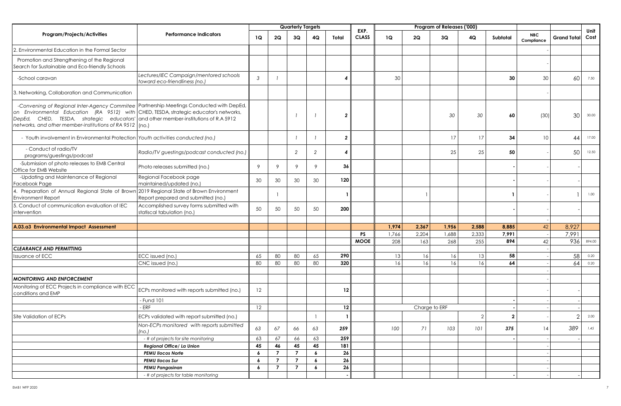|                                                                                                                                                                                                                                                                                                                                      |                                                                         |                  |                | <b>Quarterly Targets</b> |                  |                |                      |           |               | Program of Releases ('000) |                |              |                          |                    |              |
|--------------------------------------------------------------------------------------------------------------------------------------------------------------------------------------------------------------------------------------------------------------------------------------------------------------------------------------|-------------------------------------------------------------------------|------------------|----------------|--------------------------|------------------|----------------|----------------------|-----------|---------------|----------------------------|----------------|--------------|--------------------------|--------------------|--------------|
| Program/Projects/Activities                                                                                                                                                                                                                                                                                                          | <b>Performance Indicators</b>                                           | 1Q               | 2Q             | 3Q                       | 4Q               | Total          | EXP.<br><b>CLASS</b> | <b>1Q</b> | 2Q            | 3Q                         | 4Q             | Subtotal     | <b>NBC</b><br>Compliance | <b>Grand Total</b> | Unit<br>Cost |
| 2. Environmental Education in the Formal Sector                                                                                                                                                                                                                                                                                      |                                                                         |                  |                |                          |                  |                |                      |           |               |                            |                |              |                          |                    |              |
| Promotion and Strengthening of the Regional<br>Search for Sustainable and Eco-friendly Schools                                                                                                                                                                                                                                       |                                                                         |                  |                |                          |                  |                |                      |           |               |                            |                |              |                          |                    |              |
| -School caravan                                                                                                                                                                                                                                                                                                                      | Lectures/IEC Campaign/mentored schools<br>toward eco-friendliness (no.) | $\mathcal{S}$    |                |                          |                  | 4              |                      | 30        |               |                            |                | 30           | 30                       | 60                 | 7.50         |
| 3. Networking, Collaboration and Communication                                                                                                                                                                                                                                                                                       |                                                                         |                  |                |                          |                  |                |                      |           |               |                            |                |              |                          |                    |              |
| -Convening of Regional Inter-Agency Commitee   Partnership Meetings Conducted with DepEd,<br>on Environmental Education (RA 9512) with CHED, TESDA, strategic educator's networks,<br>DepEd, CHED, TESDA, strategic educators' and other member-institutions of R.A 5912<br>networks, and other member-institutions of RA 9512 (no.) |                                                                         |                  |                |                          |                  | $\overline{2}$ |                      |           |               | 30                         | 30             | 60           | (30)                     | 30                 | 30.00        |
| - Youth involvement in Environmental Protection Youth activities conducted (no.)                                                                                                                                                                                                                                                     |                                                                         |                  |                |                          |                  | $\overline{2}$ |                      |           |               | 17                         | 17             | 34           | 10                       | 44                 | 17.00        |
| - Conduct of radio/TV<br>programs/guestings/podcast                                                                                                                                                                                                                                                                                  | Radio/TV guestings/podcast conducted (no.)                              |                  |                | 2                        | 2                | 4              |                      |           |               | 25                         | 25             | 50           |                          | 50                 | 12.50        |
| -Submission of photo releases to EMB Central<br>Office for EMB Website                                                                                                                                                                                                                                                               | Photo releases submitted (no.)                                          | 9                | $\mathsf{Q}$   | 9                        | 9                | 36             |                      |           |               |                            |                |              |                          |                    |              |
| -Updating and Maintenance of Regional<br>Facebook Page                                                                                                                                                                                                                                                                               | Regional Facebook page<br>maintained/updated (no.)                      | 30               | 30             | 30                       | 30               | 120            |                      |           |               |                            |                |              |                          |                    |              |
| 4. Preparation of Annual Regional State of Brown 2019 Regional State of Brown Environment<br><b>Environment Report</b>                                                                                                                                                                                                               | Report prepared and submitted (no.)                                     |                  |                |                          |                  |                |                      |           |               |                            |                |              |                          |                    | 1.00         |
| 5. Conduct of communication evaluation of IEC<br>intervention                                                                                                                                                                                                                                                                        | Accomplished survey forms submitted with<br>statiscal tabulation (no.)  | 50               | 50             | 50                       | 50               | 200            |                      |           |               |                            |                |              |                          |                    |              |
|                                                                                                                                                                                                                                                                                                                                      |                                                                         |                  |                |                          |                  |                |                      |           |               |                            |                |              |                          |                    |              |
| A.03.a3 Environmental Impact Assessment                                                                                                                                                                                                                                                                                              |                                                                         |                  |                |                          |                  |                |                      | 1,974     | 2,367         | 1,956                      | 2,588          | 8,885        | 42                       | 8,927              |              |
|                                                                                                                                                                                                                                                                                                                                      |                                                                         |                  |                |                          |                  |                | <b>PS</b>            | 1,766     | 2,204         | 1,688                      | 2,333          | 7,991        |                          | 7,991              |              |
|                                                                                                                                                                                                                                                                                                                                      |                                                                         |                  |                |                          |                  |                | <b>MOOE</b>          | 208       | 163           | 268                        | 255            | 894          | 42                       | 936                | 894.00       |
| <b>CLEARANCE AND PERMITTING</b>                                                                                                                                                                                                                                                                                                      |                                                                         |                  |                |                          |                  |                |                      |           |               |                            |                |              |                          |                    |              |
| <b>Issuance of ECC</b>                                                                                                                                                                                                                                                                                                               | ECC issued (no.)                                                        | 65               | 80             | 80                       | 65               | 290            |                      | 13        | 16            | 16                         | 13             | 58           |                          | 58                 | 0.20         |
|                                                                                                                                                                                                                                                                                                                                      | CNC issued (no.)                                                        | 80               | 80             | 80                       | 80               | 320            |                      | 16        | 16            | 16                         | 16             | 64           |                          | 64                 | 0.20         |
| <b>MONITORING AND ENFORCEMENT</b>                                                                                                                                                                                                                                                                                                    |                                                                         |                  |                |                          |                  |                |                      |           |               |                            |                |              |                          |                    |              |
| Monitoring of ECC Projects in compliance with ECC<br>conditions and EMP                                                                                                                                                                                                                                                              | ECPs monitored with reports submitted (no.)                             | 12               |                |                          |                  | 12             |                      |           |               |                            |                |              |                          |                    |              |
|                                                                                                                                                                                                                                                                                                                                      | - Fund 101                                                              |                  |                |                          |                  |                |                      |           |               |                            |                |              |                          |                    |              |
|                                                                                                                                                                                                                                                                                                                                      | - ERF                                                                   | 12               |                |                          |                  | 12             |                      |           | Charge to ERF |                            |                |              |                          |                    |              |
| Site Validation of ECPs                                                                                                                                                                                                                                                                                                              | ECPs validated with report submitted (no.)                              |                  |                |                          |                  |                |                      |           |               |                            | $\overline{2}$ | $\mathbf{2}$ |                          | 2                  | 2.00         |
|                                                                                                                                                                                                                                                                                                                                      | Non-ECPs monitored with reports submitted<br>(no.)                      | 63               | 67             | 66                       | 63               | 259            |                      | 100       | 71            | 103                        | 101            | 375          | 14                       | 389                | 1.45         |
|                                                                                                                                                                                                                                                                                                                                      | - # of projects for site monitoring                                     | 63               | 67             | 66                       | 63               | 259            |                      |           |               |                            |                |              |                          |                    |              |
|                                                                                                                                                                                                                                                                                                                                      | Regional Office/ La Union                                               | 45               | 46             | 45                       | 45               | 181            |                      |           |               |                            |                |              |                          |                    |              |
|                                                                                                                                                                                                                                                                                                                                      | <b>PEMU Ilocos Norte</b>                                                | $\boldsymbol{6}$ | $\overline{7}$ | $\overline{7}$           | $\boldsymbol{6}$ | 26             |                      |           |               |                            |                |              |                          |                    |              |
|                                                                                                                                                                                                                                                                                                                                      | <b>PEMU Ilocos Sur</b>                                                  | $\epsilon$       | $\overline{7}$ | $\overline{7}$           | 6                | 26             |                      |           |               |                            |                |              |                          |                    |              |
|                                                                                                                                                                                                                                                                                                                                      | <b>PEMU Pangasinan</b>                                                  | 6                | $\overline{7}$ | $\overline{7}$           | 6                | 26             |                      |           |               |                            |                |              |                          |                    |              |
|                                                                                                                                                                                                                                                                                                                                      | - # of projects for table monitoring                                    |                  |                |                          |                  |                |                      |           |               |                            |                |              |                          |                    |              |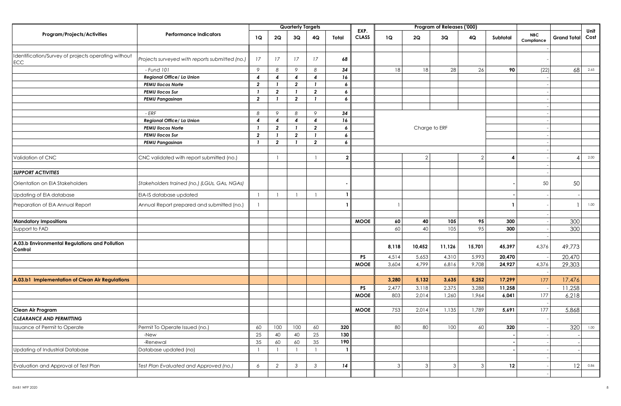|                                                            |                                                |                |                | <b>Quarterly Targets</b> |                          |                  |                      |       |                | Program of Releases ('000) |               |          |                          |                    |              |
|------------------------------------------------------------|------------------------------------------------|----------------|----------------|--------------------------|--------------------------|------------------|----------------------|-------|----------------|----------------------------|---------------|----------|--------------------------|--------------------|--------------|
| <b>Program/Projects/Activities</b>                         | <b>Performance Indicators</b>                  | 1Q             | 2Q             | 3Q                       | 4Q                       | Total            | EXP.<br><b>CLASS</b> | 1Q    | 2Q             | 3Q                         | 4Q            | Subtotal | <b>NBC</b><br>Compliance | <b>Grand Total</b> | Unit<br>Cost |
|                                                            |                                                |                |                |                          |                          |                  |                      |       |                |                            |               |          |                          |                    |              |
| Identification/Survey of projects operating without<br>ECC | Projects surveyed with reports submitted (no.) | 17             | 17             | 17                       | 17                       | 68               |                      |       |                |                            |               |          |                          |                    |              |
|                                                            | - Fund 101                                     | 9              | 8              | 9                        | 8                        | 34               |                      | 18    | 18             | 28                         | 26            | 90       | (22)                     | 68                 | 2.65         |
|                                                            | Regional Office/ La Union                      | $\overline{4}$ | 4              | $\overline{4}$           | $\overline{4}$           | 16               |                      |       |                |                            |               |          |                          |                    |              |
|                                                            | <b>PEMU Ilocos Norte</b>                       | $\overline{2}$ |                | $\overline{2}$           | $\mathbf{1}$             | 6                |                      |       |                |                            |               |          |                          |                    |              |
|                                                            | <b>PEMU Ilocos Sur</b>                         | - 7            | $\overline{2}$ |                          | $\overline{2}$           | 6                |                      |       |                |                            |               |          |                          |                    |              |
|                                                            | <b>PEMU Pangasinan</b>                         | $\overline{2}$ | - 1            | $\overline{2}$           | $\mathbf{1}$             | $\boldsymbol{6}$ |                      |       |                |                            |               |          |                          |                    |              |
|                                                            |                                                |                |                |                          |                          |                  |                      |       |                |                            |               |          |                          |                    |              |
|                                                            | - ERF                                          | 8              | 9              | 8                        | 9                        | 34               |                      |       |                |                            |               |          |                          |                    |              |
|                                                            | Regional Office/ La Union                      | 4              | 4              | $\overline{4}$           | $\boldsymbol{4}$         | 16               |                      |       |                |                            |               |          |                          |                    |              |
|                                                            | <b>PEMU Ilocos Norte</b>                       |                | $\overline{2}$ |                          | $\overline{2}$           | 6                |                      |       |                | Charge to ERF              |               |          |                          |                    |              |
|                                                            | <b>PEMU Ilocos Sur</b>                         | $\overline{2}$ | - 1            | $\overline{2}$           | $\mathbf{1}$             | 6                |                      |       |                |                            |               |          |                          |                    |              |
|                                                            | <b>PEMU Pangasinan</b>                         | $\mathbf{I}$   | $\overline{2}$ |                          | $\overline{2}$           | 6                |                      |       |                |                            |               |          |                          |                    |              |
|                                                            |                                                |                |                |                          |                          |                  |                      |       |                |                            | $\mathcal{P}$ |          |                          |                    |              |
| Validation of CNC                                          | CNC validated with report submitted (no.)      |                |                |                          | $\overline{1}$           | $\mathbf{2}$     |                      |       | $\overline{2}$ |                            |               | 4        |                          |                    | 2.00         |
|                                                            |                                                |                |                |                          |                          |                  |                      |       |                |                            |               |          |                          |                    |              |
| <b>SUPPORT ACTIVITIES</b>                                  |                                                |                |                |                          |                          |                  |                      |       |                |                            |               |          |                          |                    |              |
| Orientation on EIA Stakeholders                            | Stakeholders trained (no.) (LGUs, GAs, NGAs)   |                |                |                          |                          |                  |                      |       |                |                            |               |          | 50                       | 50                 |              |
| Updating of EIA database                                   | EIA-IS database updated                        | $\overline{1}$ |                |                          | $\overline{\phantom{a}}$ |                  |                      |       |                |                            |               |          |                          |                    |              |
| Preparation of EIA Annual Report                           | Annual Report prepared and submitted (no.)     | $\mathbf{1}$   |                |                          |                          |                  |                      |       |                |                            |               |          |                          |                    | 1.00         |
|                                                            |                                                |                |                |                          |                          |                  |                      | 60    |                | 105                        |               | 300      |                          |                    |              |
| <b>Mandatory Impositions</b>                               |                                                |                |                |                          |                          |                  | <b>MOOE</b>          | 60    | 40             | 105                        | 95<br>95      | 300      |                          | 300<br>300         |              |
| Support to FAD                                             |                                                |                |                |                          |                          |                  |                      |       | 40             |                            |               |          |                          |                    |              |
| A.03.b Environmental Regulations and Pollution             |                                                |                |                |                          |                          |                  |                      |       |                |                            |               |          |                          |                    |              |
| Control                                                    |                                                |                |                |                          |                          |                  |                      | 8,118 | 10,452         | 11,126                     | 15,701        | 45,397   | 4,376                    | 49,773             |              |
|                                                            |                                                |                |                |                          |                          |                  | <b>PS</b>            | 4,514 | 5,653          | 4,310                      | 5,993         | 20,470   |                          | 20,470             |              |
|                                                            |                                                |                |                |                          |                          |                  | <b>MOOE</b>          | 3,604 | 4,799          | 6,816                      | 9,708         | 24,927   | 4,376                    | 29,303             |              |
|                                                            |                                                |                |                |                          |                          |                  |                      |       |                |                            |               |          |                          |                    |              |
| A.03.b1 Implementation of Clean Air Regulations            |                                                |                |                |                          |                          |                  |                      | 3,280 | 5,132          | 3,635                      | 5,252         | 17,299   | 177                      | 17,476             |              |
|                                                            |                                                |                |                |                          |                          |                  | <b>PS</b>            | 2,477 | 3,118          | 2,375                      | 3,288         | 11,258   |                          | 11,258             |              |
|                                                            |                                                |                |                |                          |                          |                  | <b>MOOE</b>          | 803   | 2,014          | 1,260                      | 1,964         | 6,041    | 177                      | 6,218              |              |
| Clean Air Program                                          |                                                |                |                |                          |                          |                  | <b>MOOE</b>          | 753   | 2,014          | 1,135                      | 1,789         | 5,691    | 177                      |                    |              |
|                                                            |                                                |                |                |                          |                          |                  |                      |       |                |                            |               |          |                          | 5,868              |              |
| <b>CLEARANCE AND PERMITTING</b>                            |                                                |                |                |                          |                          |                  |                      |       |                |                            |               |          |                          |                    |              |
| Issuance of Permit to Operate                              | Permit To Operate Issued (no.)                 | 60             | 100            | $100\,$                  | 60                       | 320              |                      | 80    | 80             | 100                        | 60            | 320      |                          | 320                | 1.00         |
|                                                            | -New                                           | 25             | 40             | 40                       | 25                       | 130              |                      |       |                |                            |               |          |                          |                    |              |
|                                                            | -Renewal                                       | 35             | 60             | 60                       | 35                       | 190              |                      |       |                |                            |               |          |                          |                    |              |
| Updating of Industrial Database                            | Database updated (no)                          |                |                |                          |                          |                  |                      |       |                |                            |               |          |                          |                    |              |
|                                                            |                                                |                |                |                          |                          |                  |                      |       |                |                            |               |          |                          |                    |              |
| Evaluation and Approval of Test Plan                       | Test Plan Evaluated and Approved (no.)         | 6              | 2              | $\mathcal{S}$            | $\mathfrak{Z}$           | 14               |                      | 3     | $\mathbf{3}$   | $\ensuremath{\mathsf{3}}$  | 3             | 12       |                          | 12                 | 0.86         |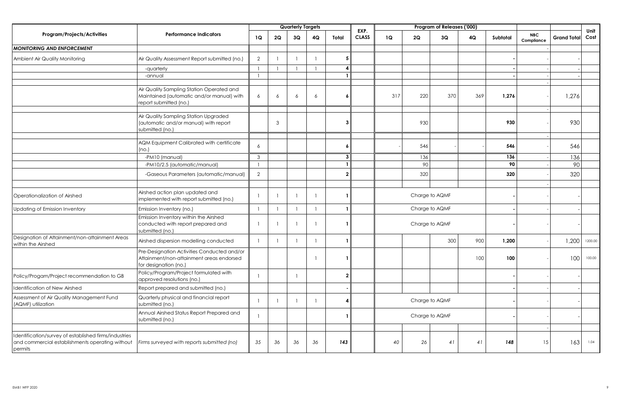|                                                                                                                    |                                                                                                                  |                |    | <b>Quarterly Targets</b> |    |                |                      |     |     | Program of Releases ('000) |     |          |                          |                    |              |
|--------------------------------------------------------------------------------------------------------------------|------------------------------------------------------------------------------------------------------------------|----------------|----|--------------------------|----|----------------|----------------------|-----|-----|----------------------------|-----|----------|--------------------------|--------------------|--------------|
| Program/Projects/Activities                                                                                        | <b>Performance Indicators</b>                                                                                    | 1Q             | 2Q | 3Q                       | 4Q | Total          | EXP.<br><b>CLASS</b> | 1Q  | 2Q  | 3Q                         | 4Q  | Subtotal | <b>NBC</b><br>Compliance | <b>Grand Total</b> | Unit<br>Cost |
| <b>MONITORING AND ENFORCEMENT</b>                                                                                  |                                                                                                                  |                |    |                          |    |                |                      |     |     |                            |     |          |                          |                    |              |
| Ambient Air Quality Monitoring                                                                                     | Air Quality Assessment Report submitted (no.)                                                                    | 2              |    |                          |    | 5 <sub>5</sub> |                      |     |     |                            |     |          |                          |                    |              |
|                                                                                                                    | -quarterly                                                                                                       |                |    |                          |    | 4              |                      |     |     |                            |     |          |                          |                    |              |
|                                                                                                                    | -annual                                                                                                          |                |    |                          |    |                |                      |     |     |                            |     |          |                          |                    |              |
|                                                                                                                    | Air Quality Sampling Station Operated and<br>Maintained (automatic and/or manual) with<br>report submitted (no.) | 6              | 6  | 6                        | 6  | 6              |                      | 317 | 220 | 370                        | 369 | 1,276    |                          | 1,276              |              |
|                                                                                                                    | Air Quality Sampling Station Upgraded<br>(automatic and/or manual) with report<br>submitted (no.)                |                | 3  |                          |    | 3              |                      |     | 930 |                            |     | 930      |                          | 930                |              |
|                                                                                                                    | AQM Equipment Calibrated with certificate<br>(no.)                                                               | 6              |    |                          |    | 6              |                      |     | 546 |                            |     | 546      |                          | 546                |              |
|                                                                                                                    | -PM10 (manual)                                                                                                   | $\mathbf{3}$   |    |                          |    | 3              |                      |     | 136 |                            |     | 136      |                          | 136                |              |
|                                                                                                                    | -PM10/2.5 (automatic/manual)                                                                                     |                |    |                          |    |                |                      |     | 90  |                            |     | 90       |                          | 90                 |              |
|                                                                                                                    | -Gaseous Parameters (automatic/manual)                                                                           | $\overline{2}$ |    |                          |    | $\overline{2}$ |                      |     | 320 |                            |     | 320      |                          | 320                |              |
|                                                                                                                    |                                                                                                                  |                |    |                          |    |                |                      |     |     |                            |     |          |                          |                    |              |
| Operationalization of Airshed                                                                                      | Airshed action plan updated and<br>implemented with report submitted (no.)                                       |                |    | $\mathbf{1}$             | -1 |                |                      |     |     | Charge to AQMF             |     |          |                          |                    |              |
| Updating of Emission Inventory                                                                                     | Emission Inventory (no.)                                                                                         | $\mathbf{1}$   |    | $\mathbf{1}$             |    |                |                      |     |     | Charge to AQMF             |     |          |                          |                    |              |
|                                                                                                                    | Emission Inventory within the Airshed<br>conducted with report prepared and<br>submitted (no.)                   |                |    | $\mathbf{1}$             |    |                |                      |     |     | Charge to AQMF             |     |          |                          |                    |              |
| Designation of Attainment/non-attainment Areas<br>within the Airshed                                               | Airshed dispersion modelling conducted                                                                           |                |    |                          |    |                |                      |     |     | 300                        | 900 | 1,200    |                          | 1,200              | 1200.00      |
|                                                                                                                    | Pre-Designation Activities Conducted and/or<br>Attainment/non-attainment areas endorsed<br>for designation (no.) |                |    |                          |    |                |                      |     |     |                            | 100 | 100      |                          | 100                | 100.00       |
| Policy/Progam/Project recommendation to GB                                                                         | Policy/Program/Project formulated with<br>approved resolutions (no.)                                             |                |    |                          |    | $\mathbf{2}$   |                      |     |     |                            |     |          |                          |                    |              |
| dentification of New Airshed                                                                                       | Report prepared and submitted (no.)                                                                              |                |    |                          |    |                |                      |     |     |                            |     |          |                          |                    |              |
| Assessment of Air Quality Management Fund<br>(AQMF) utilization                                                    | Quarterly physical and financial report<br>submitted (no.)                                                       |                |    |                          |    | 4              |                      |     |     | Charge to AQMF             |     |          |                          |                    |              |
|                                                                                                                    | Annual Airshed Status Report Prepared and<br>submitted (no.)                                                     |                |    |                          |    |                |                      |     |     | Charge to AQMF             |     |          |                          |                    |              |
|                                                                                                                    |                                                                                                                  |                |    |                          |    |                |                      |     |     |                            |     |          |                          |                    |              |
| dentification/survey of established firms/industries<br>and commercial establishments operating without<br>permits | Firms surveyed with reports submitted (no)                                                                       | 35             | 36 | 36                       | 36 | 143            |                      | 40  | 26  | 41                         | 41  | 148      | 15                       | 163                | 1.04         |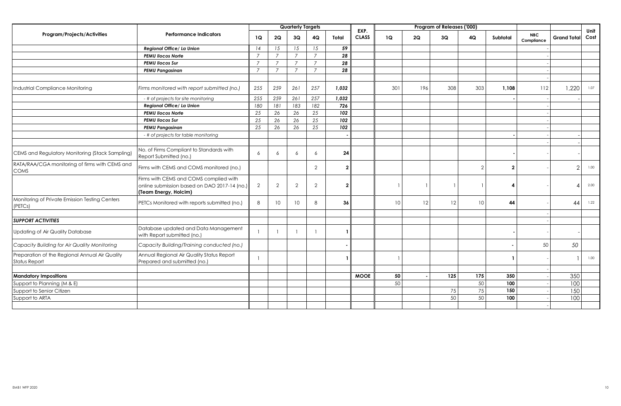|                                                                        |                                                                                                                 |                |                 | <b>Quarterly Targets</b> |                |                |                      |     |     | Program of Releases ('000) |                |                |                          |                    |              |
|------------------------------------------------------------------------|-----------------------------------------------------------------------------------------------------------------|----------------|-----------------|--------------------------|----------------|----------------|----------------------|-----|-----|----------------------------|----------------|----------------|--------------------------|--------------------|--------------|
| <b>Program/Projects/Activities</b>                                     | <b>Performance Indicators</b>                                                                                   | 1Q             | 2Q              | 3Q                       | 4Q             | Total          | EXP.<br><b>CLASS</b> | 1Q  | 2Q  | 3Q                         | 4Q             | Subtotal       | <b>NBC</b><br>Compliance | <b>Grand Total</b> | Unit<br>Cost |
|                                                                        | Regional Office/ La Union                                                                                       | 14             | 15              | 15                       | 15             | 59             |                      |     |     |                            |                |                |                          |                    |              |
|                                                                        | <b>PEMU Ilocos Norte</b>                                                                                        | $\overline{7}$ | $\overline{7}$  | $\overline{7}$           | $\overline{7}$ | 28             |                      |     |     |                            |                |                |                          |                    |              |
|                                                                        | <b>PEMU Ilocos Sur</b>                                                                                          | $\overline{7}$ | $\overline{7}$  | $\overline{7}$           | $\overline{7}$ | 28             |                      |     |     |                            |                |                |                          |                    |              |
|                                                                        | <b>PEMU Pangasinan</b>                                                                                          | $\overline{7}$ | $\overline{7}$  | $\overline{7}$           | $\overline{7}$ | 28             |                      |     |     |                            |                |                |                          |                    |              |
|                                                                        |                                                                                                                 |                |                 |                          |                |                |                      |     |     |                            |                |                |                          |                    |              |
| ndustrial Compliance Monitoring                                        | Firms monitored with report submitted (no.)                                                                     | 255            | 259             | 261                      | 257            | 1,032          |                      | 301 | 196 | 308                        | 303            | 1,108          | 112                      | 1,220              | 1.07         |
|                                                                        | - # of projects for site monitoring                                                                             | 255            | 259             | 261                      | 257            | 1,032          |                      |     |     |                            |                |                |                          |                    |              |
|                                                                        | Regional Office/ La Union                                                                                       | 180            | 181             | 183                      | 182            | 726            |                      |     |     |                            |                |                |                          |                    |              |
|                                                                        | <b>PEMU Ilocos Norte</b>                                                                                        | 25             | 26              | 26                       | 25             | 102            |                      |     |     |                            |                |                |                          |                    |              |
|                                                                        | <b>PEMU Ilocos Sur</b>                                                                                          | 25             | 26              | 26                       | 25             | 102            |                      |     |     |                            |                |                |                          |                    |              |
|                                                                        | <b>PEMU Pangasinan</b>                                                                                          | 25             | 26              | 26                       | 25             | 102            |                      |     |     |                            |                |                |                          |                    |              |
|                                                                        | - # of projects for table monitoring                                                                            |                |                 |                          |                |                |                      |     |     |                            |                |                |                          |                    |              |
|                                                                        |                                                                                                                 |                |                 |                          |                |                |                      |     |     |                            |                |                |                          |                    |              |
| CEMS and Regulatory Monitoring (Stack Sampling)                        | No. of Firms Compliant to Standards with<br>Report Submitted (no.)                                              | 6              | 6               | 6                        | 6              | 24             |                      |     |     |                            |                |                |                          |                    |              |
| RATA/RAA/CGA monitoring of firms with CEMS and<br><b>COMS</b>          | Firms with CEMS and COMS monitored (no.)                                                                        |                |                 |                          | $\overline{2}$ | $\overline{2}$ |                      |     |     |                            | $\overline{2}$ | $\overline{2}$ |                          | $\mathcal{P}$      | 1.00         |
|                                                                        | Firms with CEMS and COMS complied with<br>online submission based on DAO 2017-14 (no.)<br>(Team Energy, Holcim) | $\overline{2}$ | $\overline{2}$  | $\overline{2}$           | 2              | $\mathbf{2}$   |                      |     |     |                            |                | Δ              |                          |                    | 2.00         |
| Monitoring of Private Emission Testing Centers<br>(PETCs)              | PETCs Monitored with reports submitted (no.)                                                                    | 8              | 10 <sup>°</sup> | 10 <sup>°</sup>          | 8              | 36             |                      | 10  | 12  | 12                         | 10             | 44             |                          | 44                 | 1.22         |
|                                                                        |                                                                                                                 |                |                 |                          |                |                |                      |     |     |                            |                |                |                          |                    |              |
| <b>SUPPORT ACTIVITIES</b>                                              |                                                                                                                 |                |                 |                          |                |                |                      |     |     |                            |                |                |                          |                    |              |
| Updating of Air Quality Database                                       | Database updated and Data Management<br>with Report submitted (no.)                                             |                |                 |                          |                |                |                      |     |     |                            |                |                |                          |                    |              |
| Capacity Building for Air Quality Monitoring                           | Capacity Building/Training conducted (no.)                                                                      |                |                 |                          |                |                |                      |     |     |                            |                |                | 50                       | 50                 |              |
| Preparation of the Regional Annual Air Quality<br><b>Status Report</b> | Annual Regional Air Quality Status Report<br>Prepared and submitted (no.)                                       |                |                 |                          |                |                |                      |     |     |                            |                | - 1            |                          |                    | 1.00         |
|                                                                        |                                                                                                                 |                |                 |                          |                |                |                      |     |     |                            |                |                |                          |                    |              |
| <b>Mandatory Impositions</b>                                           |                                                                                                                 |                |                 |                          |                |                | <b>MOOE</b>          | 50  |     | 125                        | 175            | 350            |                          | 350                |              |
| Support to Planning (M & E)                                            |                                                                                                                 |                |                 |                          |                |                |                      | 50  |     |                            | 50             | 100            |                          | 100                |              |
| Support to Senior Citizen                                              |                                                                                                                 |                |                 |                          |                |                |                      |     |     | 75                         | 75             | 150            |                          | 150                |              |
| Support to ARTA                                                        |                                                                                                                 |                |                 |                          |                |                |                      |     |     | 50                         | 50             | 100            |                          | 100                |              |
|                                                                        |                                                                                                                 |                |                 |                          |                |                |                      |     |     |                            |                |                |                          |                    |              |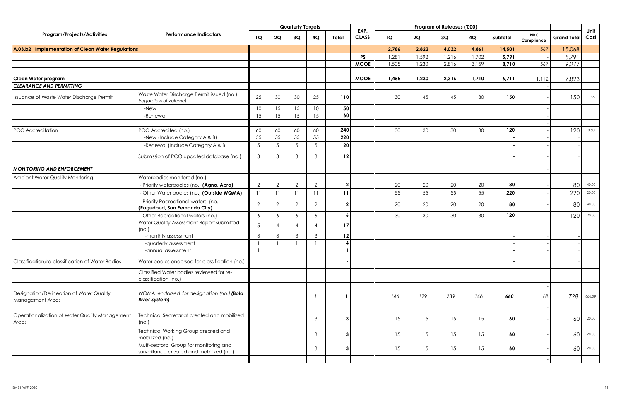|                                                              |                                                                                     |                 |                          | <b>Quarterly Targets</b> |                |                |                      |       |        | Program of Releases ('000) |       |          |                          |                    |              |
|--------------------------------------------------------------|-------------------------------------------------------------------------------------|-----------------|--------------------------|--------------------------|----------------|----------------|----------------------|-------|--------|----------------------------|-------|----------|--------------------------|--------------------|--------------|
| Program/Projects/Activities                                  | <b>Performance Indicators</b>                                                       | 1Q              | 2Q                       | 3Q                       | 4Q             | Total          | EXP.<br><b>CLASS</b> | 1Q    | 2Q     | 3Q                         | 4Q    | Subtotal | <b>NBC</b><br>Compliance | <b>Grand Total</b> | Unit<br>Cost |
| A.03.b2 Implementation of Clean Water Regulations            |                                                                                     |                 |                          |                          |                |                |                      | 2,786 | 2.822  | 4,032                      | 4,861 | 14,501   | 567                      | 15,068             |              |
|                                                              |                                                                                     |                 |                          |                          |                |                | <b>PS</b>            | 1,281 | 1,592  | 1,216                      | 1,702 | 5,791    |                          | 5,791              |              |
|                                                              |                                                                                     |                 |                          |                          |                |                | <b>MOOE</b>          | 1,505 | 1,230  | 2,816                      | 3,159 | 8,710    | 567                      | 9,277              |              |
|                                                              |                                                                                     |                 |                          |                          |                |                |                      |       |        |                            |       |          |                          |                    |              |
| Clean Water program                                          |                                                                                     |                 |                          |                          |                |                | <b>MOOE</b>          | 1,455 | 1,230  | 2,316                      | 1,710 | 6,711    | 1.112                    | 7,823              |              |
| <b>CLEARANCE AND PERMITTING</b>                              |                                                                                     |                 |                          |                          |                |                |                      |       |        |                            |       |          |                          |                    |              |
| Issuance of Waste Water Discharge Permit                     | Waste Water Discharge Permit issued (no.)<br>(regardless of volume)                 | 25              | 30                       | 30                       | 25             | 110            |                      | 30    | 45     | 45                         | 30    | 150      |                          | 150                | 1.36         |
|                                                              | -New                                                                                | 10              | 15                       | 15                       | 10             | 50             |                      |       |        |                            |       |          |                          |                    |              |
|                                                              | -Renewal                                                                            | 15              | 15                       | 15                       | 15             | 60             |                      |       |        |                            |       |          |                          |                    |              |
|                                                              |                                                                                     |                 |                          |                          |                |                |                      |       |        |                            |       |          |                          |                    |              |
| PCO Accreditation                                            | PCO Accredited (no.)                                                                | 60              | 60                       | 60                       | 60             | 240            |                      | 30    | 30     | 30                         | 30    | 120      |                          | 120                | 0.50         |
|                                                              | -New (Include Category A & B)                                                       | 55              | 55                       | 55                       | 55             | 220            |                      |       |        |                            |       |          |                          |                    |              |
|                                                              | -Renewal (Include Category A & B)                                                   | $5\phantom{.0}$ | $\overline{5}$           | $5\overline{)}$          | $\overline{5}$ | 20             |                      |       |        |                            |       |          |                          |                    |              |
|                                                              | Submission of PCO updated database (no.)                                            | 3               | 3                        | $\mathbf{3}$             | 3              | 12             |                      |       |        |                            |       |          |                          |                    |              |
| <b>MONITORING AND ENFORCEMENT</b>                            |                                                                                     |                 |                          |                          |                |                |                      |       |        |                            |       |          |                          |                    |              |
| Ambient Water Quality Monitoring                             | Waterbodies monitored (no.)                                                         |                 |                          |                          |                |                |                      |       |        |                            |       |          |                          |                    |              |
|                                                              | - Priority waterbodies (no.) (Agno, Abra)                                           | 2               | 2                        | $\overline{2}$           | $\overline{2}$ | $\mathbf{2}$   |                      | 20    | 20     | 20                         | 20    | 80       |                          | 80                 | 40.00        |
|                                                              | - Other Water bodies (no.) (Outside WQMA)                                           | 11              | 11                       | 11                       | 11             | 11             |                      | 55    | 55     | 55                         | 55    | 220      |                          | 220                | 20.00        |
|                                                              | - Priority Recreational waters (no.)<br>(Pagudpud, San Fernando City)               | 2               | $\overline{2}$           | $\overline{2}$           | $\overline{2}$ | $\overline{2}$ |                      | 20    | $20\,$ | 20                         | 20    | 80       |                          | 80                 | 40.00        |
|                                                              | - Other Recreational waters (no.)                                                   | 6               | 6                        | 6                        | 6              | 6              |                      | 30    | 30     | 30                         | 30    | 120      |                          | 120                | 20.00        |
|                                                              | Water Quality Assessment Report submitted<br>(no.)                                  | 5               | $\boldsymbol{\varDelta}$ | $\overline{4}$           | $\Delta$       | 17             |                      |       |        |                            |       |          |                          |                    |              |
|                                                              | -monthly assessment                                                                 | $\mathbf{3}$    | $\mathbf{3}$             | 3                        | $\mathbf{3}$   | $12 \,$        |                      |       |        |                            |       |          |                          |                    |              |
|                                                              | -quarterly assessment                                                               | $\mathbf{1}$    |                          |                          |                | 4              |                      |       |        |                            |       |          |                          |                    |              |
|                                                              | -annual assessment                                                                  | $\mathbf{1}$    |                          |                          |                |                |                      |       |        |                            |       |          |                          |                    |              |
| Classification/re-classification of Water Bodies             | Water bodies endorsed for classification (no.)                                      |                 |                          |                          |                |                |                      |       |        |                            |       |          |                          |                    |              |
|                                                              | Classified Water bodies reviewed for re-<br>classification (no.)                    |                 |                          |                          |                |                |                      |       |        |                            |       |          |                          |                    |              |
|                                                              |                                                                                     |                 |                          |                          |                |                |                      |       |        |                            |       |          |                          |                    |              |
| Designation/Delineation of Water Quality<br>Management Areas | WQMA endorsed for designation (no.) (Bolo<br><b>River System)</b>                   |                 |                          |                          |                |                |                      | 146   | 129    | 239                        | 146   | 660      | 68                       | 728                | 660.00       |
|                                                              |                                                                                     |                 |                          |                          |                |                |                      |       |        |                            |       |          |                          |                    |              |
| Operationalization of Water Quality Management<br>Areas      | Technical Secretariat created and mobilized<br>(no.)                                |                 |                          |                          | 3              | 3 <sup>1</sup> |                      | 15    | 15     | 15                         | 15    | 60       |                          | 60                 | 20.00        |
|                                                              | Technical Working Group created and<br>mobilized (no.)                              |                 |                          |                          | 3              | 3 <sup>1</sup> |                      | 15    | 15     | 15                         | 15    | 60       |                          | 60                 | 20.00        |
|                                                              | Multi-sectoral Group for monitoring and<br>surveillance created and mobilized (no.) |                 |                          |                          | $\mathbf{3}$   | $\mathbf{3}$   |                      | 15    | 15     | 15                         | 15    | 60       |                          | 60                 | 20.00        |
|                                                              |                                                                                     |                 |                          |                          |                |                |                      |       |        |                            |       |          |                          |                    |              |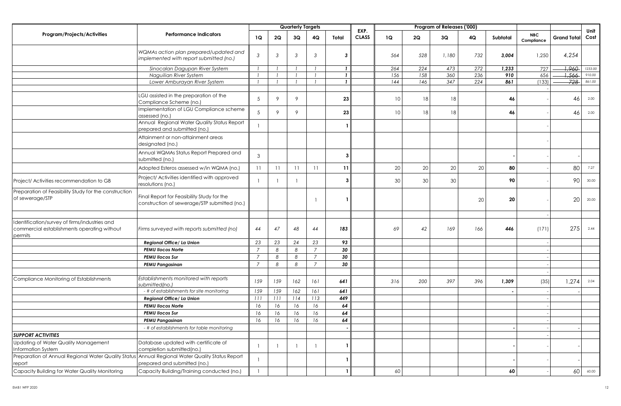|                                                                                                           |                                                                                            |                |              | <b>Quarterly Targets</b> |                |              |                      |                 |     | Program of Releases ('000) |        |          |                          |                    |              |
|-----------------------------------------------------------------------------------------------------------|--------------------------------------------------------------------------------------------|----------------|--------------|--------------------------|----------------|--------------|----------------------|-----------------|-----|----------------------------|--------|----------|--------------------------|--------------------|--------------|
| <b>Program/Projects/Activities</b>                                                                        | <b>Performance Indicators</b>                                                              | 1Q             | 2Q           | 3Q                       | 4Q             | Total        | EXP.<br><b>CLASS</b> | 1Q              | 2Q  | 3Q                         | 4Q     | Subtotal | <b>NBC</b><br>Compliance | <b>Grand Total</b> | Unit<br>Cost |
|                                                                                                           | WQMAs action plan prepared/updated and<br>implemented with report submitted (no.)          | 3              | 3            | 3                        | $\mathbf{3}$   | -3           |                      | 564             | 528 | 1,180                      | 732    | 3,004    | 1,250                    | 4,254              |              |
|                                                                                                           | Sinocalan Dagupan River System                                                             |                |              |                          |                | $\mathbf{I}$ |                      | 264             | 224 | 473                        | 272    | 1,233    | 727                      | 1,960              | 1233.00      |
|                                                                                                           | Naguilian River System                                                                     |                |              |                          |                | $\mathbf{I}$ |                      | 156             | 158 | 360                        | 236    | 910      | 656                      | 1,566              | 910.00       |
|                                                                                                           | Lower Amburayan River System                                                               |                |              |                          |                | $\mathbf{I}$ |                      | 144             | 146 | 347                        | 224    | 861      | (133)                    | $728 -$            | 861.00       |
|                                                                                                           | LGU assisted in the preparation of the<br>Compliance Scheme (no.)                          | 5              | $\circ$      | 9                        |                | 23           |                      | 10 <sup>°</sup> | 18  | 18                         |        | 46       |                          | 46                 | 2.00         |
|                                                                                                           | Implementation of LGU Compliance scheme<br>assessed (no.)                                  | 5              | $\mathsf{Q}$ | 9                        |                | 23           |                      | 10              | 18  | 18                         |        | 46       |                          | 46                 | 2.00         |
|                                                                                                           | Annual Regional Water Quality Status Report<br>prepared and submitted (no.)                | $\mathbf{1}$   |              |                          |                |              |                      |                 |     |                            |        |          |                          |                    |              |
|                                                                                                           | Attainment or non-attainment areas<br>designated (no.)                                     |                |              |                          |                |              |                      |                 |     |                            |        |          |                          |                    |              |
|                                                                                                           | Annual WQMAs Status Report Prepared and<br>submitted (no.)                                 | 3              |              |                          |                | 3            |                      |                 |     |                            |        |          |                          |                    |              |
|                                                                                                           | Adopted Esteros assessed w/in WQMA (no.)                                                   | 11             | 11           | 11                       | 11             | 11           |                      | 20              | 20  | 20                         | $20\,$ | 80       |                          | 80                 | 7.27         |
| Project/ Activities recommendation to GB                                                                  | Project/ Activities identified with approved<br>resolutions (no.)                          |                |              |                          |                | 3            |                      | 30              | 30  | 30                         |        | 90       |                          | 90                 | 30.00        |
| Preparation of Feasibility Study for the construction<br>of sewerage/STP                                  | Final Report for Feasibility Study for the<br>construction of sewerage/STP submitted (no.) |                |              |                          |                |              |                      |                 |     |                            | 20     | 20       |                          | 20                 | 20.00        |
| Identification/survey of firms/industries and<br>commercial establishments operating without<br>permits   | Firms surveyed with reports submitted (no)                                                 | 44             | 47           | 48                       | 44             | 183          |                      | 69              | 42  | 169                        | 166    | 446      | (171)                    | 275                | 2.44         |
|                                                                                                           | Regional Office/ La Union                                                                  | 23             | 23           | 24                       | 23             | 93           |                      |                 |     |                            |        |          |                          |                    |              |
|                                                                                                           | <b>PEMU Ilocos Norte</b>                                                                   | $\overline{7}$ | 8            | 8                        | $\overline{7}$ | 30           |                      |                 |     |                            |        |          |                          |                    |              |
|                                                                                                           | <b>PEMU Ilocos Sur</b>                                                                     | $\overline{7}$ | 8            | 8                        | $\overline{7}$ | 30           |                      |                 |     |                            |        |          |                          |                    |              |
|                                                                                                           | <b>PEMU Pangasinan</b>                                                                     | $\overline{7}$ | 8            | 8                        | $\overline{7}$ | 30           |                      |                 |     |                            |        |          |                          |                    |              |
| Compliance Monitoring of Establishments                                                                   | Establishments monitored with reports<br>submitted(no.)                                    | 159            | 159          | 162                      | 161            | 641          |                      | 316             | 200 | 397                        | 396    | 1,309    | (35)                     | 1,274              | 2.04         |
|                                                                                                           | - # of establishments for site monitoring                                                  | 159            | 159          | 162                      | 161            | 641          |                      |                 |     |                            |        |          |                          |                    |              |
|                                                                                                           | Regional Office/ La Union                                                                  | 111            | 111          | 114                      | 113            | 449          |                      |                 |     |                            |        |          |                          |                    |              |
|                                                                                                           | <b>PEMU Ilocos Norte</b>                                                                   | 16             | 16           | 16                       | 16             | 64           |                      |                 |     |                            |        |          |                          |                    |              |
|                                                                                                           | <b>PEMU Ilocos Sur</b>                                                                     | 16             | 16           | 16                       | 16             | 64           |                      |                 |     |                            |        |          |                          |                    |              |
|                                                                                                           | <b>PEMU Pangasinan</b>                                                                     | 16             | 16           | 16                       | 16             | 64           |                      |                 |     |                            |        |          |                          |                    |              |
|                                                                                                           | - # of establishments for table monitoring                                                 |                |              |                          |                |              |                      |                 |     |                            |        |          |                          |                    |              |
| <b>SUPPORT ACTIVITIES</b>                                                                                 |                                                                                            |                |              |                          |                |              |                      |                 |     |                            |        |          |                          |                    |              |
| Updating of Water Quality Management                                                                      | Database updated with certificate of                                                       | $\overline{1}$ |              |                          | - 1            |              |                      |                 |     |                            |        |          |                          |                    |              |
| Information System                                                                                        | completion submitted(no.)                                                                  |                |              |                          |                |              |                      |                 |     |                            |        |          |                          |                    |              |
| Preparation of Annual Regional Water Quality Status Annual Regional Water Quality Status Report<br>report | prepared and submitted (no.)                                                               |                |              |                          |                |              |                      |                 |     |                            |        |          |                          |                    |              |
| Capacity Building for Water Quality Monitoring                                                            | Capacity Building/Training conducted (no.)                                                 |                |              |                          |                |              |                      | 60              |     |                            |        | 60       |                          | 60                 | 60.00        |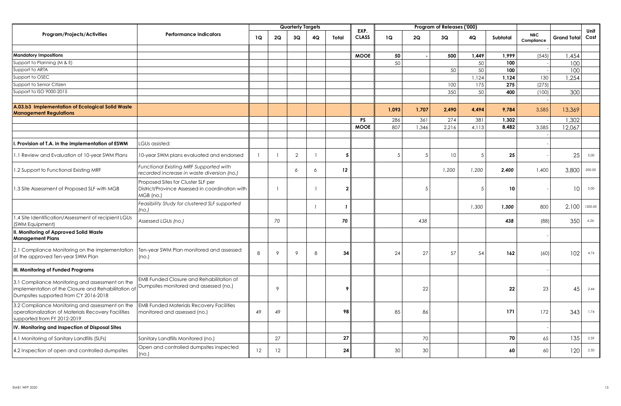|                                                                                                                                                 |                                                                                                    |    |        | <b>Quarterly Targets</b> |    |                |                      |                |       | Program of Releases ('000) |       |          |                          |                    |              |
|-------------------------------------------------------------------------------------------------------------------------------------------------|----------------------------------------------------------------------------------------------------|----|--------|--------------------------|----|----------------|----------------------|----------------|-------|----------------------------|-------|----------|--------------------------|--------------------|--------------|
| <b>Program/Projects/Activities</b>                                                                                                              | <b>Performance Indicators</b>                                                                      | 1Q | 2Q     | 3Q                       | 4Q | Total          | EXP.<br><b>CLASS</b> | 1Q             | 2Q    | 3Q                         | 4Q    | Subtotal | <b>NBC</b><br>Compliance | <b>Grand Total</b> | Unit<br>Cost |
|                                                                                                                                                 |                                                                                                    |    |        |                          |    |                |                      |                |       |                            |       |          |                          |                    |              |
| <b>Mandatory Impositions</b>                                                                                                                    |                                                                                                    |    |        |                          |    |                | <b>MOOE</b>          | 50             |       | 500                        | 1,449 | 1,999    | (545)                    | 1,454              |              |
| Support to Planning (M & E)                                                                                                                     |                                                                                                    |    |        |                          |    |                |                      | 50             |       |                            | 50    | 100      |                          | 100                |              |
| Support to ARTA                                                                                                                                 |                                                                                                    |    |        |                          |    |                |                      |                |       | 50                         | 50    | 100      |                          | 100                |              |
| Support to OSEC                                                                                                                                 |                                                                                                    |    |        |                          |    |                |                      |                |       |                            | 1,124 | 1,124    | 130                      | ,254               |              |
| Support to Senior Citizen                                                                                                                       |                                                                                                    |    |        |                          |    |                |                      |                |       | 100                        | 175   | 275      | (275)                    |                    |              |
| Support to ISO 9000-2015                                                                                                                        |                                                                                                    |    |        |                          |    |                |                      |                |       | 350                        | 50    | 400      | (100)                    | 300                |              |
|                                                                                                                                                 |                                                                                                    |    |        |                          |    |                |                      |                |       |                            |       |          |                          |                    |              |
| A.03.b3 Implementation of Ecological Solid Waste<br><b>Management Regulations</b>                                                               |                                                                                                    |    |        |                          |    |                |                      | 1,093          | 1,707 | 2,490                      | 4,494 | 9,784    | 3,585                    | 13,369             |              |
|                                                                                                                                                 |                                                                                                    |    |        |                          |    |                | <b>PS</b>            | 286            | 361   | 274                        | 381   | 1.302    |                          | 1,302              |              |
|                                                                                                                                                 |                                                                                                    |    |        |                          |    |                | <b>MOOE</b>          | 807            | 1,346 | 2,216                      | 4,113 | 8,482    | 3,585                    | 12,067             |              |
|                                                                                                                                                 |                                                                                                    |    |        |                          |    |                |                      |                |       |                            |       |          |                          |                    |              |
| . Provision of T.A. in the implementation of ESWM                                                                                               | LGUs assisted:                                                                                     |    |        |                          |    |                |                      |                |       |                            |       |          |                          |                    |              |
| .1 Review and Evaluation of 10-year SWM Plans                                                                                                   | 10-year SWM plans evaluated and endorsed                                                           |    |        | $\overline{2}$           |    | 5              |                      | $\overline{5}$ | .5    | 10                         | 5     | 25       |                          | 25                 | 5.00         |
| 1.2 Support to Functional Existing MRF                                                                                                          | Functional Existing MRF Supported with<br>recorded increase in waste diversion (no.)               |    |        | 6                        | 6  | 12             |                      |                |       | 1,200                      | 1,200 | 2,400    | 1,400                    | 3,800              | 200.00       |
| 1.3 Site Assessment of Proposed SLF with MGB                                                                                                    | Proposed Sites for Cluster SLF per<br>District/Province Assessed in coordination with<br>MGB (no.) |    |        |                          |    | $\overline{2}$ |                      |                | .5    |                            | 5     | 10       |                          | 10 <sup>°</sup>    | 5.00         |
|                                                                                                                                                 | Feasibility Study for clustered SLF supported<br>(no.)                                             |    |        |                          |    |                |                      |                |       |                            | 1,300 | 1,300    | 800                      | 2,100              | 1300.00      |
| 1.4 Site Identification/Assessment of recipient LGUs<br><b>SWM Equipment)</b>                                                                   | Assessed LGUs (no.)                                                                                |    | 70     |                          |    | 70             |                      |                | 438   |                            |       | 438      | (88)                     | 350                | 6.26         |
| I. Monitoring of Approved Solid Waste<br><b>Management Plans</b>                                                                                |                                                                                                    |    |        |                          |    |                |                      |                |       |                            |       |          |                          |                    |              |
| 2.1 Compliance Monitoring on the implementation<br>of the approved Ten-year SWM Plan                                                            | Ten-year SWM Plan monitored and assessed<br>(no.)                                                  | 8  | 9      | 9                        | 8  | 34             |                      | 24             | 27    | 57                         | 54    | 162      | (60)                     | 102                | 4.76         |
| III. Monitoring of Funded Programs                                                                                                              |                                                                                                    |    |        |                          |    |                |                      |                |       |                            |       |          |                          |                    |              |
| 3.1 Compliance Monitoring and assessment on the<br>implementation of the Closure and Rehabilitation of<br>Dumpsites supported from CY 2016-2018 | <b>EMB Funded Closure and Rehabilitation of</b><br>Dumpsites monitored and assessed (no.)          |    | 9      |                          |    | 9              |                      |                | 22    |                            |       | 22       | 23                       | 45                 | 2.44         |
| 3.2 Compliance Monitoring and assessment on the<br>operationalization of Materials Recovery Facilities<br>supported from FY 2012-2019           | <b>EMB Funded Materials Recovery Facilities</b><br>monitored and assessed (no.)                    | 49 | 49     |                          |    | 98             |                      | 85             | 86    |                            |       | 171      | 172                      | 343                | 1.74         |
| IV. Monitoring and Inspection of Disposal Sites                                                                                                 |                                                                                                    |    |        |                          |    |                |                      |                |       |                            |       |          |                          |                    |              |
| 1.1 Monitoring of Sanitary Landfills (SLFs)                                                                                                     | Sanitary Landfills Monitored (no.)                                                                 |    | $27\,$ |                          |    | 27             |                      |                | 70    |                            |       | 70       | 65                       | 135                | 2.59         |
| 4.2 Inspection of open and controlled dumpsites                                                                                                 | Open and controlled dumpsites inspected<br>(no.)                                                   | 12 | 12     |                          |    | 24             |                      | 30             | 30    |                            |       | 60       | 60                       | 120                | 2.50         |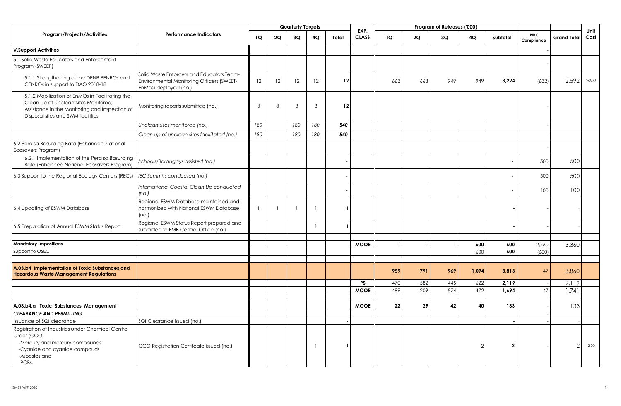|                                                                                                                                                                                |                                                                                                                 |              |    | <b>Quarterly Targets</b> |                |         |                      |     |     | Program of Releases ('000) |                |                |                          |                    |              |
|--------------------------------------------------------------------------------------------------------------------------------------------------------------------------------|-----------------------------------------------------------------------------------------------------------------|--------------|----|--------------------------|----------------|---------|----------------------|-----|-----|----------------------------|----------------|----------------|--------------------------|--------------------|--------------|
| <b>Program/Projects/Activities</b>                                                                                                                                             | <b>Performance Indicators</b>                                                                                   | 1Q           | 2Q | 3Q                       | 4Q             | Total   | EXP.<br><b>CLASS</b> | 1Q  | 2Q  | 3Q                         | 4Q             | Subtotal       | <b>NBC</b><br>Compliance | <b>Grand Total</b> | Unit<br>Cost |
| <b>V.Support Activities</b>                                                                                                                                                    |                                                                                                                 |              |    |                          |                |         |                      |     |     |                            |                |                |                          |                    |              |
| 5.1 Solid Waste Educators and Enforcement<br>Program (SWEEP)                                                                                                                   |                                                                                                                 |              |    |                          |                |         |                      |     |     |                            |                |                |                          |                    |              |
| 5.1.1 Strengthening of the DENR PENROs and<br>CENROs in support to DAO 2018-18                                                                                                 | Solid Waste Enforcers and Educators Team-<br>Environmental Monitoring Officers (SWEET-<br>EnMos) deployed (no.) | 12           | 12 | 12                       | 12             | 12      |                      | 663 | 663 | 949                        | 949            | 3,224          | (632)                    | 2.592              | 268.67       |
| 5.1.2 Mobilization of EnMOs in Facilitating the<br>Clean Up of Unclean Sites Monitored;<br>Assistance in the Monitoring and Inspection of<br>Disposal sites and SWM facilities | Monitoring reports submitted (no.)                                                                              | 3            | 3  | 3                        | 3              | $12 \,$ |                      |     |     |                            |                |                |                          |                    |              |
|                                                                                                                                                                                | Unclean sites monitored (no.)                                                                                   | 180          |    | 180                      | 180            | 540     |                      |     |     |                            |                |                |                          |                    |              |
|                                                                                                                                                                                | Clean up of unclean sites facilitated (no.)                                                                     | 180          |    | 180                      | 180            | 540     |                      |     |     |                            |                |                |                          |                    |              |
| 6.2 Pera sa Basura ng Bata (Enhanced National<br>Ecosavers Program)                                                                                                            |                                                                                                                 |              |    |                          |                |         |                      |     |     |                            |                |                |                          |                    |              |
| 6.2.1 Implementation of the Pera sa Basura ng<br><b>Bata (Enhanced National Ecosavers Program)</b>                                                                             | Schools/Barangays assisted (no.)                                                                                |              |    |                          |                |         |                      |     |     |                            |                |                | 500                      | 500                |              |
| 6.3 Support to the Regional Ecology Centers (RECs)                                                                                                                             | IEC Summits conducted (no.)                                                                                     |              |    |                          |                |         |                      |     |     |                            |                |                | 500                      | 500                |              |
|                                                                                                                                                                                | International Coastal Clean Up conducted<br>(no.)                                                               |              |    |                          |                |         |                      |     |     |                            |                |                | 100                      | 100                |              |
| 6.4 Updating of ESWM Database                                                                                                                                                  | Regional ESWM Database maintained and<br>harmonized with National ESWM Database<br>(no.)                        | $\mathbf{1}$ |    | $\overline{1}$           | $\overline{1}$ |         |                      |     |     |                            |                |                |                          |                    |              |
| 6.5 Preparation of Annual ESWM Status Report                                                                                                                                   | Regional ESWM Status Report prepared and<br>submitted to EMB Central Office (no.)                               |              |    |                          | $\overline{1}$ |         |                      |     |     |                            |                |                |                          |                    |              |
| <b>Mandatory Impositions</b>                                                                                                                                                   |                                                                                                                 |              |    |                          |                |         |                      |     |     |                            |                |                |                          |                    |              |
| Support to OSEC                                                                                                                                                                |                                                                                                                 |              |    |                          |                |         | <b>MOOE</b>          |     |     |                            | 600<br>600     | 600<br>600     | 2,760<br>(600)           | 3,360              |              |
|                                                                                                                                                                                |                                                                                                                 |              |    |                          |                |         |                      |     |     |                            |                |                |                          |                    |              |
| A.03.b4 Implementation of Toxic Substances and<br><b>Hazardous Waste Management Regulations</b>                                                                                |                                                                                                                 |              |    |                          |                |         |                      | 959 | 791 | 969                        | 1,094          | 3,813          | 47                       | 3,860              |              |
|                                                                                                                                                                                |                                                                                                                 |              |    |                          |                |         | <b>PS</b>            | 470 | 582 | 445                        | 622            | 2,119          |                          | 2,119              |              |
|                                                                                                                                                                                |                                                                                                                 |              |    |                          |                |         | <b>MOOE</b>          | 489 | 209 | 524                        | 472            | 1,694          | 47                       | 1.741              |              |
|                                                                                                                                                                                |                                                                                                                 |              |    |                          |                |         |                      |     |     |                            |                |                |                          |                    |              |
| A.03.b4.a Toxic Substances Management                                                                                                                                          |                                                                                                                 |              |    |                          |                |         | <b>MOOE</b>          | 22  | 29  | 42                         | 40             | 133            |                          | 133                |              |
| <b>CLEARANCE AND PERMITTING</b>                                                                                                                                                |                                                                                                                 |              |    |                          |                |         |                      |     |     |                            |                |                |                          |                    |              |
| Issuance of SQI clearance                                                                                                                                                      | SQI Clearance issued (no.)                                                                                      |              |    |                          |                |         |                      |     |     |                            |                |                |                          |                    |              |
| Registration of Industries under Chemical Control<br>Order (CCO)<br>-Mercury and mercury compounds<br>-Cyanide and cyanide compouds<br>-Asbestos and<br>-PCBs.                 | CCO Registration Certifcate issued (no.)                                                                        |              |    |                          | -1             |         |                      |     |     |                            | $\overline{2}$ | $\overline{2}$ |                          | $\mathcal{P}$      | 2.00         |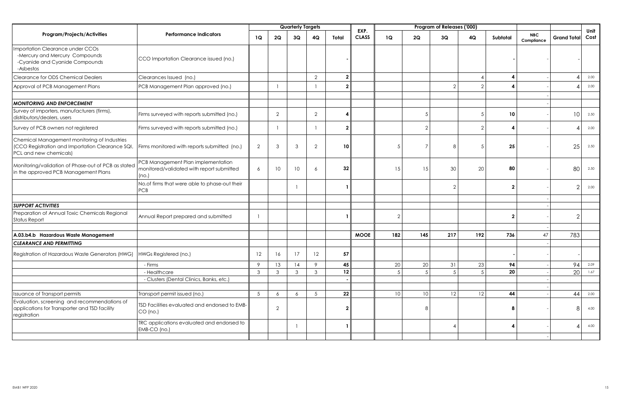|                                                                                                                            |                                                                                          |                 |                | <b>Quarterly Targets</b> |                |                 |                      |                |                | Program of Releases ('000) |                |                  |                          |                    |              |
|----------------------------------------------------------------------------------------------------------------------------|------------------------------------------------------------------------------------------|-----------------|----------------|--------------------------|----------------|-----------------|----------------------|----------------|----------------|----------------------------|----------------|------------------|--------------------------|--------------------|--------------|
| Program/Projects/Activities                                                                                                | <b>Performance Indicators</b>                                                            | 1Q              | 2Q             | 3Q                       | 4Q             | Total           | EXP.<br><b>CLASS</b> | <b>1Q</b>      | 2Q             | 3Q                         | 4Q             | Subtotal         | <b>NBC</b><br>Compliance | <b>Grand Total</b> | Unit<br>Cost |
| mportation Clearance under CCOs<br>-Mercury and Mercury Compounds<br>-Cyanide and Cyanide Compounds<br>-Asbestos           | CCO Importation Clearance issued (no.)                                                   |                 |                |                          |                |                 |                      |                |                |                            |                |                  |                          |                    |              |
| Clearance for ODS Chemical Dealers                                                                                         | Clearances Issued (no.)                                                                  |                 |                |                          | $\overline{2}$ | 2 <sub>1</sub>  |                      |                |                |                            |                | 4                |                          |                    | 2.00         |
| Approval of PCB Management Plans                                                                                           | PCB Management Plan approved (no.)                                                       |                 |                |                          |                | $\overline{2}$  |                      |                |                | $\overline{2}$             | $\overline{2}$ | $\boldsymbol{4}$ |                          |                    | 2.00         |
| <b>MONITORING AND ENFORCEMENT</b>                                                                                          |                                                                                          |                 |                |                          |                |                 |                      |                |                |                            |                |                  |                          |                    |              |
| Survey of importers, manufacturers (firms),<br>distributors/dealers, users                                                 | Firms surveyed with reports submitted (no.)                                              |                 | $\overline{2}$ |                          | $\overline{2}$ | Δ               |                      |                | $\overline{5}$ |                            | 5              | 10               |                          | 10 <sup>°</sup>    | 2.50         |
| Survey of PCB owners not registered                                                                                        | Firms surveyed with reports submitted (no.)                                              |                 |                |                          |                | $\mathbf{2}$    |                      |                | $\overline{2}$ |                            | $\overline{2}$ | $\boldsymbol{4}$ |                          |                    | 2.00         |
| Chemical Management monitoring of Industries<br>(CCO Registration and Importation Clearance SQI,<br>PCL and new chemicals) | Firms monitored with reports submitted (no.)                                             | 2               | 3              | 3                        | $\overline{2}$ | 10 <sup>°</sup> |                      | .5             | $\overline{7}$ | 8                          | $\overline{5}$ | 25               |                          | 25                 | 2.50         |
| Monitoring/validation of Phase-out of PCB as stated<br>in the approved PCB Management Plans                                | PCB Management Plan implementation<br>monitored/validated with report submitted<br>(no.) | 6               | 10             | 10                       | 6              | 32              |                      | 15             | 15             | 30                         | 20             | 80               |                          | 80                 | 2.50         |
|                                                                                                                            | No.of firms that were able to phase-out their<br><b>PCB</b>                              |                 |                |                          |                | $\mathbf{1}$    |                      |                |                | $\overline{2}$             |                | $\overline{2}$   |                          | $\overline{2}$     | 2.00         |
| <b>SUPPORT ACTIVITIES</b>                                                                                                  |                                                                                          |                 |                |                          |                |                 |                      |                |                |                            |                |                  |                          |                    |              |
| Preparation of Annual Toxic Chemicals Regional<br><b>Status Report</b>                                                     | Annual Report prepared and submitted                                                     |                 |                |                          |                |                 |                      | $\overline{2}$ |                |                            |                | $\overline{2}$   |                          | $\overline{2}$     |              |
|                                                                                                                            |                                                                                          |                 |                |                          |                |                 |                      |                |                |                            |                |                  |                          |                    |              |
| A.03.b4.b Hazardous Waste Management                                                                                       |                                                                                          |                 |                |                          |                |                 | <b>MOOE</b>          | 182            | 145            | 217                        | 192            | 736              | 47                       | 783                |              |
| <b>CLEARANCE AND PERMITTING</b><br>Registration of Hazardous Waste Generators (HWG)                                        | HWGs Registered (no.)                                                                    | 12              | 16             | 17                       | 12             | 57              |                      |                |                |                            |                |                  |                          |                    |              |
|                                                                                                                            | - Firms                                                                                  | 9               | 13             | 14                       | 9              | 45              |                      | 20             | 20             | 31                         | 23             | 94               |                          | 94                 | 2.09         |
|                                                                                                                            | - Healthcare                                                                             | $\mathbf{3}$    | $\mathbf{3}$   | $\mathbf{3}$             | 3              | 12              |                      |                | .5             | 5                          | $\sqrt{2}$     | 20               |                          | 20                 | 1.67         |
|                                                                                                                            | - Clusters (Dental Clinics, Banks, etc.)                                                 |                 |                |                          |                |                 |                      |                |                |                            |                |                  |                          |                    |              |
|                                                                                                                            |                                                                                          |                 |                |                          |                |                 |                      |                |                |                            |                |                  |                          |                    |              |
| Issuance of Transport permits                                                                                              | Transport permit issued (no.)                                                            | $5\overline{)}$ | 6              | 6                        | 5              | 22              |                      | 10             | 10             | 12                         | 12             | 44               |                          | 44                 | 2.00         |
| Evaluation, screening and recommendations of<br>applications for Transporter and TSD facility<br>registration              | TSD Facilities evaluated and endorsed to EMB-<br>CO (no.)                                |                 | 2              |                          |                | $\mathbf{2}$    |                      |                | 8              |                            |                | 8                |                          | R                  | 4.00         |
|                                                                                                                            | TRC applications evaluated and endorsed to<br>EMB-CO (no.)                               |                 |                |                          |                |                 |                      |                |                | $\boldsymbol{\Lambda}$     |                | $\boldsymbol{4}$ |                          |                    | 4.00         |
|                                                                                                                            |                                                                                          |                 |                |                          |                |                 |                      |                |                |                            |                |                  |                          |                    |              |